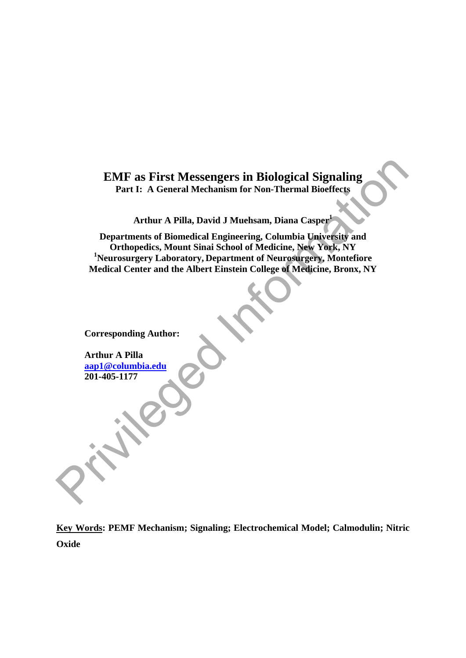# **EMF as First Messengers in Biological Signaling Part I: A General Mechanism for Non-Thermal Bioeffects**

**Arthur A Pilla, David J Muehsam, Diana Casper<sup>1</sup>**

**Departments of Biomedical Engineering, Columbia University and Orthopedics, Mount Sinai School of Medicine, New York, NY 1 Neurosurgery Laboratory, Department of Neurosurgery, Montefiore Medical Center and the Albert Einstein College of Medicine, Bronx, NY**  EMF as First Messengers in Biological Signaling<br>
Part I: A General Mechanism for Non-Thermal Bioeffects<br>
Arthur A Pilla, David J Muchsam, Diana Casper<br>
Popartments of Biomedical Engineering, Columbia University and<br>
Popart

**Corresponding Author:** 

**Arthur A Pilla aap1@columbia.edu 201-405-1177** 

**Key Words: PEMF Mechanism; Signaling; Electrochemical Model; Calmodulin; Nitric Oxide**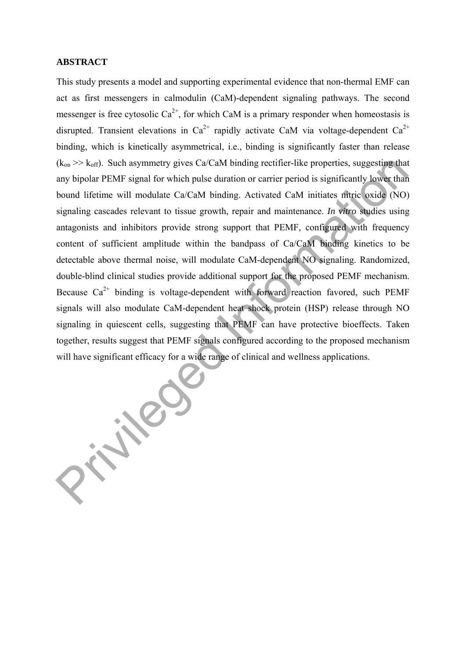#### **ABSTRACT**

This study presents a model and supporting experimental evidence that non-thermal EMF can act as first messengers in calmodulin (CaM)-dependent signaling pathways. The second messenger is free cytosolic  $Ca^{2+}$ , for which CaM is a primary responder when homeostasis is disrupted. Transient elevations in  $Ca^{2+}$  rapidly activate CaM via voltage-dependent  $Ca^{2+}$ binding, which is kinetically asymmetrical, i.e., binding is significantly faster than release  $(k_{on} \gg k_{off})$ . Such asymmetry gives Ca/CaM binding rectifier-like properties, suggesting that any bipolar PEMF signal for which pulse duration or carrier period is significantly lower than bound lifetime will modulate Ca/CaM binding. Activated CaM initiates nitric oxide (NO) signaling cascades relevant to tissue growth, repair and maintenance. *In vitro* studies using antagonists and inhibitors provide strong support that PEMF, configured with frequency content of sufficient amplitude within the bandpass of Ca/CaM binding kinetics to be detectable above thermal noise, will modulate CaM-dependent NO signaling. Randomized, double-blind clinical studies provide additional support for the proposed PEMF mechanism. Because  $Ca^{2+}$  binding is voltage-dependent with forward reaction favored, such PEMF signals will also modulate CaM-dependent heat shock protein (HSP) release through NO signaling in quiescent cells, suggesting that PEMF can have protective bioeffects. Taken together, results suggest that PEMF signals configured according to the proposed mechanism will have significant efficacy for a wide range of clinical and wellness applications. ( $k_{\text{on}}$ >>  $k_{\text{off}}$ ). Such asymmetry gives Ca/CaM binding rectifier-like properties, suggesting that any bipolar PEMF signal for which pulse duration or carrier period is significantly lower than bound lifetime will mo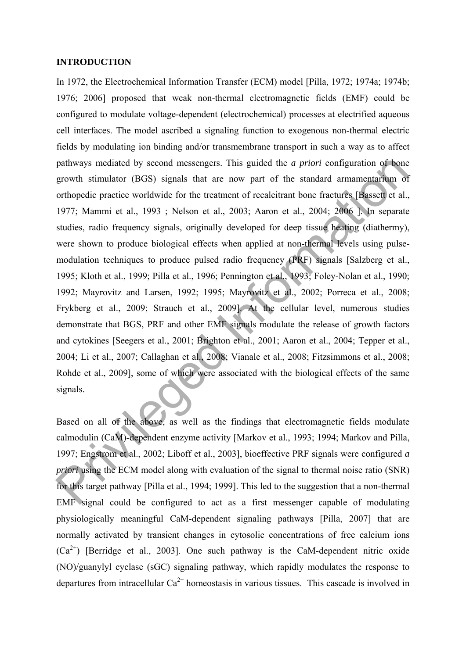#### **INTRODUCTION**

In 1972, the Electrochemical Information Transfer (ECM) model [Pilla, 1972; 1974a; 1974b; 1976; 2006] proposed that weak non-thermal electromagnetic fields (EMF) could be configured to modulate voltage-dependent (electrochemical) processes at electrified aqueous cell interfaces. The model ascribed a signaling function to exogenous non-thermal electric fields by modulating ion binding and/or transmembrane transport in such a way as to affect pathways mediated by second messengers. This guided the *a priori* configuration of bone growth stimulator (BGS) signals that are now part of the standard armamentarium of orthopedic practice worldwide for the treatment of recalcitrant bone fractures [Bassett et al., 1977; Mammi et al., 1993 ; Nelson et al., 2003; Aaron et al., 2004; 2006 ]. In separate studies, radio frequency signals, originally developed for deep tissue heating (diathermy), were shown to produce biological effects when applied at non-thermal levels using pulsemodulation techniques to produce pulsed radio frequency (PRF) signals [Salzberg et al., 1995; Kloth et al., 1999; Pilla et al., 1996; Pennington et al., 1993; Foley-Nolan et al., 1990; 1992; Mayrovitz and Larsen, 1992; 1995; Mayrovitz et al., 2002; Porreca et al., 2008; Frykberg et al., 2009; Strauch et al., 2009]. At the cellular level, numerous studies demonstrate that BGS, PRF and other EMF signals modulate the release of growth factors and cytokines [Seegers et al., 2001; Brighton et al., 2001; Aaron et al., 2004; Tepper et al., 2004; Li et al., 2007; Callaghan et al., 2008; Vianale et al., 2008; Fitzsimmons et al., 2008; Rohde et al., 2009], some of which were associated with the biological effects of the same signals. pathways mediated by second messengers. This guided the *a priori* configuration of bone<br>growth stimulator (BGS) signals that are now part of the standard armamentarium of<br>orthopedic practice worldwide for the treatment o

Based on all of the above, as well as the findings that electromagnetic fields modulate calmodulin (CaM)-dependent enzyme activity [Markov et al., 1993; 1994; Markov and Pilla, 1997; Engstrom et al., 2002; Liboff et al., 2003], bioeffective PRF signals were configured *a priori* using the ECM model along with evaluation of the signal to thermal noise ratio (SNR) for this target pathway [Pilla et al., 1994; 1999]. This led to the suggestion that a non-thermal EMF signal could be configured to act as a first messenger capable of modulating physiologically meaningful CaM-dependent signaling pathways [Pilla, 2007] that are normally activated by transient changes in cytosolic concentrations of free calcium ions  $(Ca^{2+})$  [Berridge et al., 2003]. One such pathway is the CaM-dependent nitric oxide (NO)/guanylyl cyclase (sGC) signaling pathway, which rapidly modulates the response to departures from intracellular  $Ca^{2+}$  homeostasis in various tissues. This cascade is involved in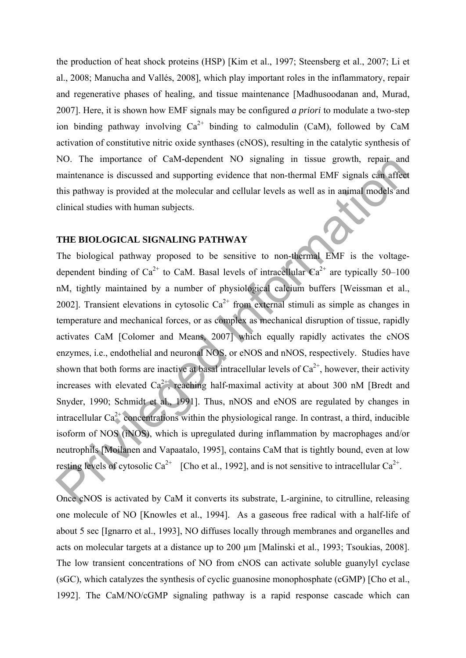the production of heat shock proteins (HSP) [Kim et al., 1997; Steensberg et al., 2007; Li et al., 2008; Manucha and Vallés, 2008], which play important roles in the inflammatory, repair and regenerative phases of healing, and tissue maintenance [Madhusoodanan and, Murad, 2007]. Here, it is shown how EMF signals may be configured *a priori* to modulate a two-step ion binding pathway involving  $Ca^{2+}$  binding to calmodulin (CaM), followed by CaM activation of constitutive nitric oxide synthases (cNOS), resulting in the catalytic synthesis of NO. The importance of CaM-dependent NO signaling in tissue growth, repair and maintenance is discussed and supporting evidence that non-thermal EMF signals can affect this pathway is provided at the molecular and cellular levels as well as in animal models and clinical studies with human subjects.

### **THE BIOLOGICAL SIGNALING PATHWAY**

The biological pathway proposed to be sensitive to non-thermal EMF is the voltagedependent binding of  $Ca^{2+}$  to CaM. Basal levels of intracellular  $Ca^{2+}$  are typically 50–100 nM, tightly maintained by a number of physiological calcium buffers [Weissman et al., 2002]. Transient elevations in cytosolic  $Ca^{2+}$  from external stimuli as simple as changes in temperature and mechanical forces, or as complex as mechanical disruption of tissue, rapidly activates CaM [Colomer and Means, 2007] which equally rapidly activates the cNOS enzymes, i.e., endothelial and neuronal NOS, or eNOS and nNOS, respectively. Studies have shown that both forms are inactive at basal intracellular levels of  $Ca<sup>2+</sup>$ , however, their activity increases with elevated  $Ca^{2+}$ , reaching half-maximal activity at about 300 nM [Bredt and Snyder, 1990; Schmidt et al., 1991]. Thus, nNOS and eNOS are regulated by changes in intracellular  $Ca^{2+}$  concentrations within the physiological range. In contrast, a third, inducible isoform of NOS (iNOS), which is upregulated during inflammation by macrophages and/or neutrophils [Moilanen and Vapaatalo, 1995], contains CaM that is tightly bound, even at low resting levels of cytosolic  $Ca^{2+}$  [Cho et al., 1992], and is not sensitive to intracellular  $Ca^{2+}$ . NO. The importance of CaM-dependent NO signaling in tissue grown, repair and<br>maintenance is discussed and supporting evidence that non-thermal EMF signals can after<br>this pathway is provided at the molecular and cellular l

Once cNOS is activated by CaM it converts its substrate, L-arginine, to citrulline, releasing one molecule of NO [Knowles et al., 1994]. As a gaseous free radical with a half-life of about 5 sec [Ignarro et al., 1993], NO diffuses locally through membranes and organelles and acts on molecular targets at a distance up to 200 µm [Malinski et al., 1993; Tsoukias, 2008]. The low transient concentrations of NO from cNOS can activate soluble guanylyl cyclase (sGC), which catalyzes the synthesis of cyclic guanosine monophosphate (cGMP) [Cho et al., 1992]. The CaM/NO/cGMP signaling pathway is a rapid response cascade which can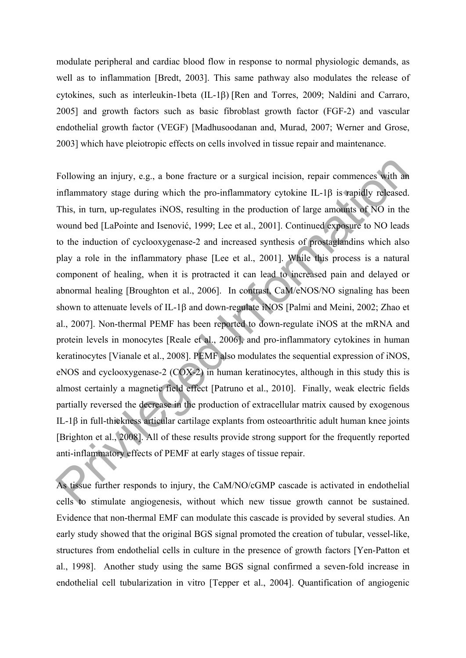modulate peripheral and cardiac blood flow in response to normal physiologic demands, as well as to inflammation [Bredt, 2003]. This same pathway also modulates the release of cytokines, such as interleukin-1beta  $(IL-1\beta)$  [Ren and Torres, 2009; Naldini and Carraro, 2005] and growth factors such as basic fibroblast growth factor (FGF-2) and vascular endothelial growth factor (VEGF) [Madhusoodanan and, Murad, 2007; Werner and Grose, 2003] which have pleiotropic effects on cells involved in tissue repair and maintenance.

Following an injury, e.g., a bone fracture or a surgical incision, repair commences with an inflammatory stage during which the pro-inflammatory cytokine IL-1 $\beta$  is rapidly released. This, in turn, up-regulates iNOS, resulting in the production of large amounts of NO in the wound bed [LaPointe and Isenović, 1999; Lee et al., 2001]. Continued exposure to NO leads to the induction of cyclooxygenase-2 and increased synthesis of prostaglandins which also play a role in the inflammatory phase [Lee et al., 2001]. While this process is a natural component of healing, when it is protracted it can lead to increased pain and delayed or abnormal healing [Broughton et al., 2006]. In contrast, CaM/eNOS/NO signaling has been shown to attenuate levels of IL-1 $\beta$  and down-regulate iNOS [Palmi and Meini, 2002; Zhao et al., 2007]. Non-thermal PEMF has been reported to down-regulate iNOS at the mRNA and protein levels in monocytes [Reale et al., 2006], and pro-inflammatory cytokines in human keratinocytes [Vianale et al., 2008]. PEMF also modulates the sequential expression of iNOS, eNOS and cyclooxygenase-2 (COX-2) in human keratinocytes, although in this study this is almost certainly a magnetic field effect [Patruno et al., 2010]. Finally, weak electric fields partially reversed the decrease in the production of extracellular matrix caused by exogenous IL-1β in full-thickness articular cartilage explants from osteoarthritic adult human knee joints [Brighton et al., 2008]. All of these results provide strong support for the frequently reported anti-inflammatory effects of PEMF at early stages of tissue repair. Following an injury, e.g., a bone fracture or a surgical incision, repair commences with an<br>inflammatory stage during which the pro-inflammatory cytokine IL-1β is rapidly released.<br>This, in turn, up-regulates iNOS, result

As tissue further responds to injury, the CaM/NO/cGMP cascade is activated in endothelial cells to stimulate angiogenesis, without which new tissue growth cannot be sustained. Evidence that non-thermal EMF can modulate this cascade is provided by several studies. An early study showed that the original BGS signal promoted the creation of tubular, vessel-like, structures from endothelial cells in culture in the presence of growth factors [Yen-Patton et al., 1998]. Another study using the same BGS signal confirmed a seven-fold increase in endothelial cell tubularization in vitro [Tepper et al., 2004]. Quantification of angiogenic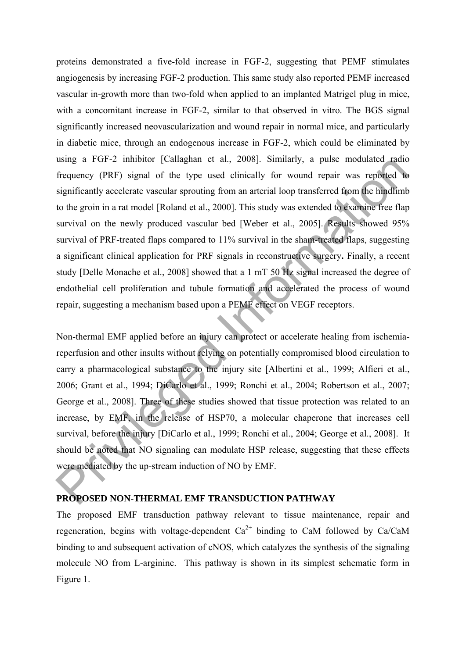proteins demonstrated a five-fold increase in FGF-2, suggesting that PEMF stimulates angiogenesis by increasing FGF-2 production. This same study also reported PEMF increased vascular in-growth more than two-fold when applied to an implanted Matrigel plug in mice, with a concomitant increase in FGF-2, similar to that observed in vitro. The BGS signal significantly increased neovascularization and wound repair in normal mice, and particularly in diabetic mice, through an endogenous increase in FGF-2, which could be eliminated by using a FGF-2 inhibitor [Callaghan et al., 2008]. Similarly, a pulse modulated radio frequency (PRF) signal of the type used clinically for wound repair was reported to significantly accelerate vascular sprouting from an arterial loop transferred from the hindlimb to the groin in a rat model [Roland et al., 2000]. This study was extended to examine free flap survival on the newly produced vascular bed [Weber et al., 2005]. Results showed 95% survival of PRF-treated flaps compared to 11% survival in the sham-treated flaps, suggesting a significant clinical application for PRF signals in reconstructive surgery**.** Finally, a recent study [Delle Monache et al., 2008] showed that a 1 mT 50 Hz signal increased the degree of endothelial cell proliferation and tubule formation and accelerated the process of wound repair, suggesting a mechanism based upon a PEMF effect on VEGF receptors. using a PGF-2 imbition [Catalgrian et al., 2008]. Similarly, a pulse mociutated radio<br>frequency (PRF) signal of the type used clinically for wound repaid to a<br>significantly accelerate vascular sprouting from an arterial lo

Non-thermal EMF applied before an injury can protect or accelerate healing from ischemiareperfusion and other insults without relying on potentially compromised blood circulation to carry a pharmacological substance to the injury site [Albertini et al., 1999; Alfieri et al., 2006; Grant et al., 1994; DiCarlo et al., 1999; Ronchi et al., 2004; Robertson et al., 2007; George et al., 2008]. Three of these studies showed that tissue protection was related to an increase, by EMF, in the release of HSP70, a molecular chaperone that increases cell survival, before the injury [DiCarlo et al., 1999; Ronchi et al., 2004; George et al., 2008]. It should be noted that NO signaling can modulate HSP release, suggesting that these effects were mediated by the up-stream induction of NO by EMF.

### **PROPOSED NON-THERMAL EMF TRANSDUCTION PATHWAY**

The proposed EMF transduction pathway relevant to tissue maintenance, repair and regeneration, begins with voltage-dependent  $Ca^{2+}$  binding to CaM followed by Ca/CaM binding to and subsequent activation of cNOS, which catalyzes the synthesis of the signaling molecule NO from L-arginine. This pathway is shown in its simplest schematic form in Figure 1.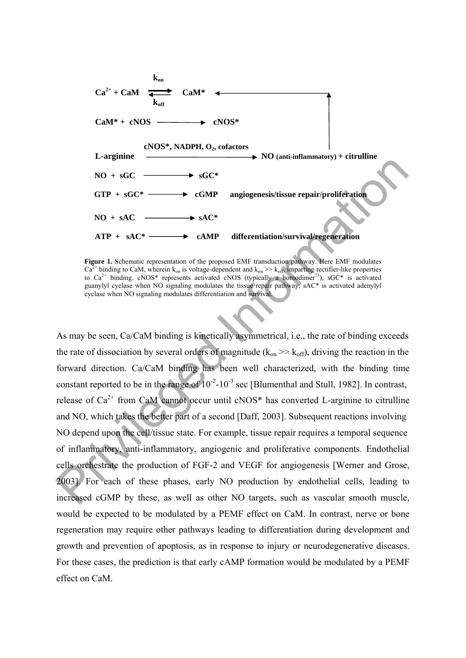

**Figure 1.** Schematic representation of the proposed EMF transduction pathway. Here EMF modulates  $Ca^{2+}$  binding to CaM, wherein k<sub>on</sub> is voltage-dependent and k<sub>on</sub> >> k<sub>off</sub>, imparting rectifier-like properties to  $Ca^{2+}$  binding. cNOS\* represents activated cNOS (typically a homodimer<sup>73</sup>), sGC\* is activated guanylyl cyclase when NO signaling modulates the tissue repair pathway; sAC\* is activated adenylyl cyclase when NO signaling modulates differentiation and survival.

As may be seen, Ca/CaM binding is kinetically asymmetrical, i.e., the rate of binding exceeds the rate of dissociation by several orders of magnitude ( $k_{on} \gg k_{off}$ ), driving the reaction in the forward direction. Ca/CaM binding has been well characterized, with the binding time constant reported to be in the range of  $10^{-2}$ -10<sup>-3</sup> sec [Blumenthal and Stull, 1982]. In contrast, release of  $Ca^{2+}$  from CaM cannot occur until cNOS\* has converted L-arginine to citrulline and NO, which takes the better part of a second [Daff, 2003]. Subsequent reactions involving NO depend upon the cell/tissue state. For example, tissue repair requires a temporal sequence of inflammatory, anti-inflammatory, angiogenic and proliferative components. Endothelial cells orchestrate the production of FGF-2 and VEGF for angiogenesis [Werner and Grose, 2003]. For each of these phases, early NO production by endothelial cells, leading to increased cGMP by these, as well as other NO targets, such as vascular smooth muscle, would be expected to be modulated by a PEMF effect on CaM. In contrast, nerve or bone regeneration may require other pathways leading to differentiation during development and growth and prevention of apoptosis, as in response to injury or neurodegenerative diseases. For these cases, the prediction is that early cAMP formation would be modulated by a PEMF effect on CaM. **EXAMPLE 10** SGC\*<br>
STP + sGC\*<br>  $GTP + sGC*$ <br>  $GTP + sGC*$ <br>  $GTP + sGC*$ <br>  $XTP + xA C*$ <br>  $XTP + xA C*$ <br>  $GTP + xA C*$ <br>  $GTP + xA C*$ <br>  $GTP + xA C*$ <br>  $GTP + xA C*$ <br>  $GTP + xA C*$ <br>  $GTP + xA C*$ <br>  $GTP + xA C*$ <br>  $GTP + xA C*$ <br>  $GTP + xA C*$ <br>  $GTP + xA C*$ <br>  $GTP + xA C*$ <br>  $GTP + xA C*$ <br>  $GTP$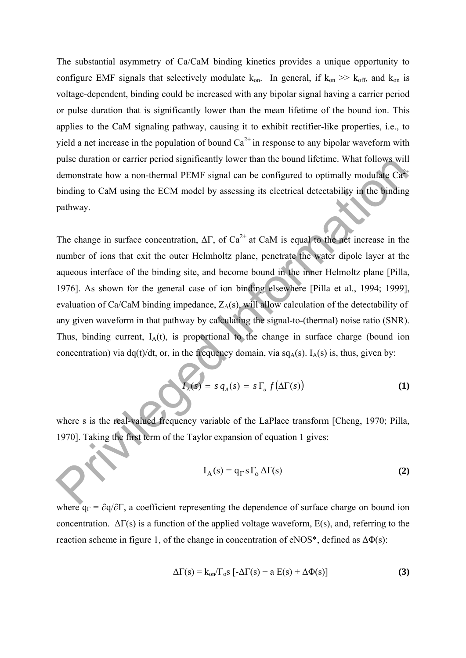The substantial asymmetry of Ca/CaM binding kinetics provides a unique opportunity to configure EMF signals that selectively modulate  $k_{on}$ . In general, if  $k_{on} \gg k_{off}$ , and  $k_{on}$  is voltage-dependent, binding could be increased with any bipolar signal having a carrier period or pulse duration that is significantly lower than the mean lifetime of the bound ion. This applies to the CaM signaling pathway, causing it to exhibit rectifier-like properties, i.e., to yield a net increase in the population of bound  $Ca^{2+}$  in response to any bipolar waveform with pulse duration or carrier period significantly lower than the bound lifetime. What follows will demonstrate how a non-thermal PEMF signal can be configured to optimally modulate  $Ca^{2+}$ binding to CaM using the ECM model by assessing its electrical detectability in the binding pathway.

The change in surface concentration,  $\Delta\Gamma$ , of Ca<sup>2+</sup> at CaM is equal to the net increase in the number of ions that exit the outer Helmholtz plane, penetrate the water dipole layer at the aqueous interface of the binding site, and become bound in the inner Helmoltz plane [Pilla, 1976]. As shown for the general case of ion binding elsewhere [Pilla et al., 1994; 1999], evaluation of Ca/CaM binding impedance,  $Z_A(s)$ , will allow calculation of the detectability of any given waveform in that pathway by calculating the signal-to-(thermal) noise ratio (SNR). Thus, binding current,  $I_A(t)$ , is proportional to the change in surface charge (bound ion concentration) via dq(t)/dt, or, in the frequency domain, via  $sq_A(s)$ . I<sub>A</sub>(s) is, thus, given by: puse auration or carner period signinicantly lower than the bound lifetime. What follows which<br>demonstrate how a non-thermal PEMF signal can be configured to optimally modulate Car<br>binding to CaM using the ECM model by as

$$
I_A(s) = s q_A(s) = s \Gamma_o f(\Delta \Gamma(s))
$$
 (1)

where s is the real-valued frequency variable of the LaPlace transform [Cheng, 1970; Pilla, 1970]. Taking the first term of the Taylor expansion of equation 1 gives:

$$
I_A(s) = q_\Gamma s \Gamma_o \Delta \Gamma(s)
$$
 (2)

where  $q_{\Gamma} = \partial q / \partial \Gamma$ , a coefficient representing the dependence of surface charge on bound ion concentration.  $\Delta\Gamma(s)$  is a function of the applied voltage waveform, E(s), and, referring to the reaction scheme in figure 1, of the change in concentration of eNOS<sup>\*</sup>, defined as  $\Delta\Phi(s)$ :

$$
\Delta\Gamma(s) = k_{on}/\Gamma_o s \left[ -\Delta\Gamma(s) + a E(s) + \Delta\Phi(s) \right]
$$
 (3)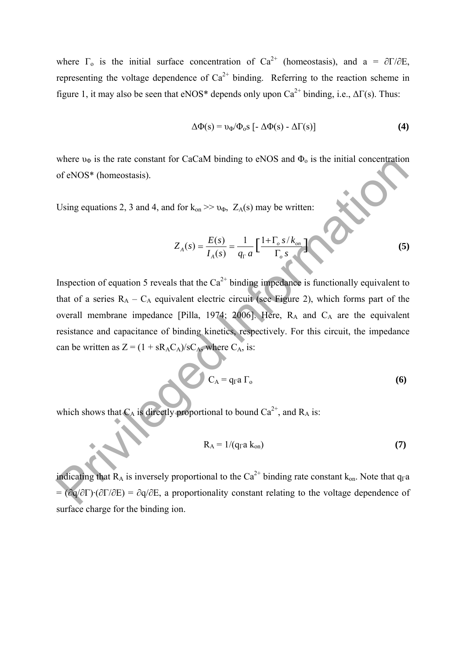where  $\Gamma_0$  is the initial surface concentration of Ca<sup>2+</sup> (homeostasis), and a =  $\partial \Gamma / \partial E$ , representing the voltage dependence of  $Ca^{2+}$  binding. Referring to the reaction scheme in figure 1, it may also be seen that eNOS\* depends only upon  $Ca^{2+}$  binding, i.e.,  $\Delta\Gamma(s)$ . Thus:

$$
\Delta \Phi(s) = v_{\Phi} / \Phi_{o} s \left[ -\Delta \Phi(s) - \Delta \Gamma(s) \right] \tag{4}
$$

where  $v_{\Phi}$  is the rate constant for CaCaM binding to eNOS and  $\Phi_{0}$  is the initial concentration of eNOS\* (homeostasis).

Using equations 2, 3 and 4, and for  $k_{on} \gg v_{\Phi}$ ,  $Z_A(s)$  may be written:

$$
Z_A(s) = \frac{E(s)}{I_A(s)} = \frac{1}{q_{\Gamma} a} \left[ \frac{1 + \Gamma_o s / k_{on}}{\Gamma_o s} \right]
$$
(5)

Inspection of equation 5 reveals that the  $Ca^{2+}$  binding impedance is functionally equivalent to that of a series  $R_A - C_A$  equivalent electric circuit (see Figure 2), which forms part of the overall membrane impedance [Pilla, 1974; 2006]. Here,  $R_A$  and  $C_A$  are the equivalent resistance and capacitance of binding kinetics, respectively. For this circuit, the impedance can be written as  $Z = (1 + sR<sub>A</sub>C<sub>A</sub>)/sC<sub>A</sub>$ , where  $C<sub>A</sub>$ , is: where  $v_a$  is the rate constant for CaCaM binding to eNOs and  $v_a$ , is the initial concentration<br>of cNOS\* (homeostasis).<br>Using equations 2, 3 and 4, and for  $k_{00} \gg v_b$ ,  $Z_A(s)$  may be written:<br> $Z_A(s) = \frac{L(s)}{I_A(s)} = \frac{1}{q_a a} \$ 

$$
C_A = q_{\Gamma} a \Gamma_o \tag{6}
$$

which shows that  $C_A$  is directly proportional to bound  $Ca^{2+}$ , and  $R_A$  is:

$$
R_A = 1/(q_{\rm r} a k_{\rm on})
$$
 (7)

indicating that  $R_A$  is inversely proportional to the Ca<sup>2+</sup> binding rate constant k<sub>on</sub>. Note that q<sub>Γ</sub>a  $=$  (∂q/∂Γ)·(∂Γ/∂E) = ∂q/∂E, a proportionality constant relating to the voltage dependence of surface charge for the binding ion.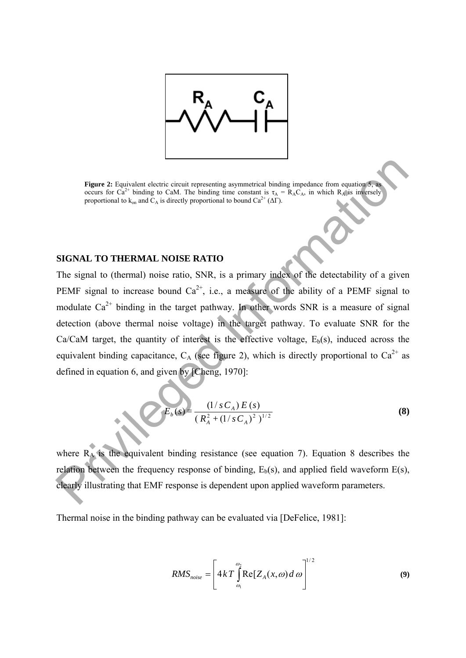

**Figure 2:** Equivalent electric circuit representing asymmetrical binding impedance from equation 5, as occurs for  $Ca^{2+}$  binding to CaM. The binding time constant is  $\tau_A = R_A C_A$ , in which  $R_A$  is inversely proportional to  $k_{on}$  and  $\tilde{C}_A$  is directly proportional to bound  $Ca^{2+}(\Delta\Gamma)$ .

### **SIGNAL TO THERMAL NOISE RATIO**

The signal to (thermal) noise ratio, SNR, is a primary index of the detectability of a given PEMF signal to increase bound  $Ca^{2+}$ , i.e., a measure of the ability of a PEMF signal to modulate  $Ca^{2+}$  binding in the target pathway. In other words SNR is a measure of signal detection (above thermal noise voltage) in the target pathway. To evaluate SNR for the  $Ca/CaM$  target, the quantity of interest is the effective voltage,  $E<sub>b</sub>(s)$ , induced across the equivalent binding capacitance,  $C_A$  (see figure 2), which is directly proportional to  $Ca^{2+}$  as defined in equation 6, and given by [Cheng, 1970]: **Playe 2:** Figurisdient elsetic ciscuit representing asymmetrical binding impactance form equalities cover for Ca<sup>2+</sup> binding to CaM. The binding time covetant is  $x_n = R_x C_n$  in which R<sub>6</sub>is information representant to  $k_m$ 

$$
E_b(s) = \frac{(1/s C_A) E(s)}{(R_A^2 + (1/s C_A)^2)^{1/2}}
$$
\n(8)

where  $R_A$  is the equivalent binding resistance (see equation 7). Equation 8 describes the relation between the frequency response of binding,  $E_b(s)$ , and applied field waveform  $E(s)$ , clearly illustrating that EMF response is dependent upon applied waveform parameters.

Thermal noise in the binding pathway can be evaluated via [DeFelice, 1981]:

$$
RMS_{noise} = \left[ 4kT \int_{\omega_1}^{\omega_2} \text{Re}[Z_A(x,\omega) \, d\,\omega] \right]^{1/2} \tag{9}
$$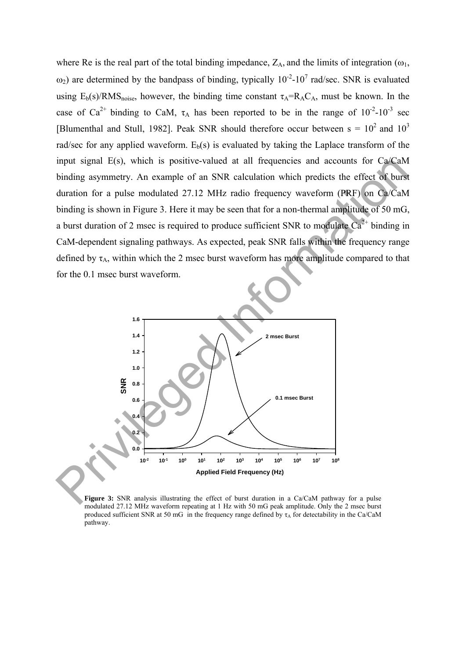where Re is the real part of the total binding impedance,  $Z_A$ , and the limits of integration ( $\omega_1$ ,  $\omega_2$ ) are determined by the bandpass of binding, typically 10<sup>-2</sup>-10<sup>7</sup> rad/sec. SNR is evaluated using  $E_b(s)/RMS_{noise}$ , however, the binding time constant  $\tau_A=R_AC_A$ , must be known. In the case of Ca<sup>2+</sup> binding to CaM,  $\tau_A$  has been reported to be in the range of  $10^{-2}$ - $10^{-3}$  sec [Blumenthal and Stull, 1982]. Peak SNR should therefore occur between  $s = 10^2$  and  $10^3$ rad/sec for any applied waveform.  $E<sub>b</sub>(s)$  is evaluated by taking the Laplace transform of the input signal E(s), which is positive-valued at all frequencies and accounts for Ca/CaM binding asymmetry. An example of an SNR calculation which predicts the effect of burst duration for a pulse modulated 27.12 MHz radio frequency waveform (PRF) on Ca/CaM binding is shown in Figure 3. Here it may be seen that for a non-thermal amplitude of 50 mG, a burst duration of 2 msec is required to produce sufficient SNR to modulate  $Ca^{2+}$  binding in CaM-dependent signaling pathways. As expected, peak SNR falls within the frequency range defined by  $\tau_A$ , within which the 2 msec burst waveform has more amplitude compared to that for the 0.1 msec burst waveform.



**Figure 3:** SNR analysis illustrating the effect of burst duration in a Ca/CaM pathway for a pulse modulated 27.12 MHz waveform repeating at 1 Hz with 50 mG peak amplitude. Only the 2 msec burst produced sufficient SNR at 50 mG in the frequency range defined by  $\tau_A$  for detectability in the Ca/CaM pathway.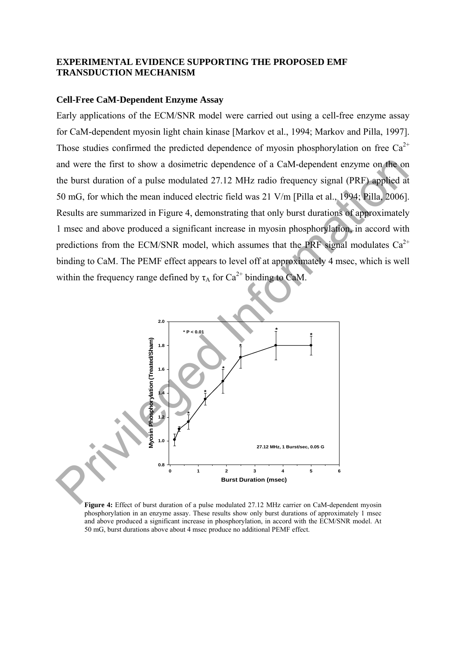### **EXPERIMENTAL EVIDENCE SUPPORTING THE PROPOSED EMF TRANSDUCTION MECHANISM**

### **Cell-Free CaM-Dependent Enzyme Assay**

Early applications of the ECM/SNR model were carried out using a cell-free enzyme assay for CaM-dependent myosin light chain kinase [Markov et al., 1994; Markov and Pilla, 1997]. Those studies confirmed the predicted dependence of myosin phosphorylation on free  $Ca^{2+}$ and were the first to show a dosimetric dependence of a CaM-dependent enzyme on the on the burst duration of a pulse modulated 27.12 MHz radio frequency signal (PRF) applied at 50 mG, for which the mean induced electric field was 21 V/m [Pilla et al., 1994; Pilla, 2006]. Results are summarized in Figure 4, demonstrating that only burst durations of approximately 1 msec and above produced a significant increase in myosin phosphorylation, in accord with predictions from the ECM/SNR model, which assumes that the PRF signal modulates  $Ca^{2+}$ binding to CaM. The PEMF effect appears to level off at approximately 4 msec, which is well within the frequency range defined by  $\tau_A$  for Ca<sup>2+</sup> binding to CaM.



Figure 4: Effect of burst duration of a pulse modulated 27.12 MHz carrier on CaM-dependent myosin phosphorylation in an enzyme assay. These results show only burst durations of approximately 1 msec and above produced a significant increase in phosphorylation, in accord with the ECM/SNR model. At 50 mG, burst durations above about 4 msec produce no additional PEMF effect.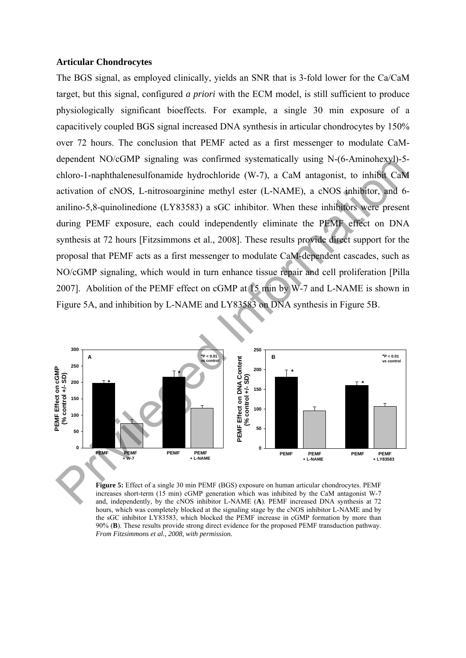#### **Articular Chondrocytes**

The BGS signal, as employed clinically, yields an SNR that is 3-fold lower for the Ca/CaM target, but this signal, configured *a priori* with the ECM model, is still sufficient to produce physiologically significant bioeffects. For example, a single 30 min exposure of a capacitively coupled BGS signal increased DNA synthesis in articular chondrocytes by 150% over 72 hours. The conclusion that PEMF acted as a first messenger to modulate CaMdependent NO/cGMP signaling was confirmed systematically using N-(6-Aminohexyl)-5 chloro-1-naphthalenesulfonamide hydrochloride (W-7), a CaM antagonist, to inhibit CaM activation of cNOS, L-nitrosoarginine methyl ester (L-NAME), a cNOS inhibitor, and 6 anilino-5,8-quinolinedione (LY83583) a sGC inhibitor. When these inhibitors were present during PEMF exposure, each could independently eliminate the PEMF effect on DNA synthesis at 72 hours [Fitzsimmons et al., 2008]. These results provide direct support for the proposal that PEMF acts as a first messenger to modulate CaM-dependent cascades, such as NO/cGMP signaling, which would in turn enhance tissue repair and cell proliferation [Pilla 2007]. Abolition of the PEMF effect on cGMP at 15 min by W-7 and L-NAME is shown in Figure 5A, and inhibition by L-NAME and LY83583 on DNA synthesis in Figure 5B. dependent NO/GOMP signaling was comitmed systematically using N-(b-Ammonexyle-<br>electron-1-naphitalences)(formation of eNOS, L-nitrosonginine methyl ester (L-NAME), a cNOS inhibitor, and d-<br>and into-5.8-quinolincdine (LY83



**Figure 5:** Effect of a single 30 min PEMF (BGS) exposure on human articular chondrocytes. PEMF increases short-term (15 min) cGMP generation which was inhibited by the CaM antagonist W-7 and, independently, by the cNOS inhibitor L-NAME (**A**). PEMF increased DNA synthesis at 72 hours, which was completely blocked at the signaling stage by the cNOS inhibitor L-NAME and by the sGC inhibitor LY83583, which blocked the PEMF increase in cGMP formation by more than 90% (**B**). These results provide strong direct evidence for the proposed PEMF transduction pathway. *From Fitzsimmons et al., 2008, with permission.*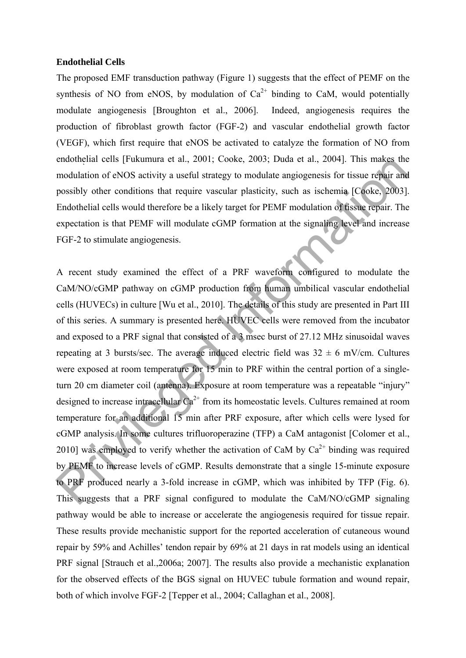#### **Endothelial Cells**

The proposed EMF transduction pathway (Figure 1) suggests that the effect of PEMF on the synthesis of NO from eNOS, by modulation of  $Ca^{2+}$  binding to CaM, would potentially modulate angiogenesis [Broughton et al., 2006]. Indeed, angiogenesis requires the production of fibroblast growth factor (FGF-2) and vascular endothelial growth factor (VEGF), which first require that eNOS be activated to catalyze the formation of NO from endothelial cells [Fukumura et al., 2001; Cooke, 2003; Duda et al., 2004]. This makes the modulation of eNOS activity a useful strategy to modulate angiogenesis for tissue repair and possibly other conditions that require vascular plasticity, such as ischemia [Cooke, 2003]. Endothelial cells would therefore be a likely target for PEMF modulation of tissue repair. The expectation is that PEMF will modulate cGMP formation at the signaling level and increase FGF-2 to stimulate angiogenesis.

A recent study examined the effect of a PRF waveform configured to modulate the CaM/NO/cGMP pathway on cGMP production from human umbilical vascular endothelial cells (HUVECs) in culture [Wu et al., 2010]. The details of this study are presented in Part III of this series. A summary is presented here. HUVEC cells were removed from the incubator and exposed to a PRF signal that consisted of a 3 msec burst of 27.12 MHz sinusoidal waves repeating at 3 bursts/sec. The average induced electric field was  $32 \pm 6$  mV/cm. Cultures were exposed at room temperature for 15 min to PRF within the central portion of a singleturn 20 cm diameter coil (antenna). Exposure at room temperature was a repeatable "injury" designed to increase intracellular  $Ca^{2+}$  from its homeostatic levels. Cultures remained at room temperature for an additional 15 min after PRF exposure, after which cells were lysed for cGMP analysis. In some cultures trifluoroperazine (TFP) a CaM antagonist [Colomer et al., 2010] was employed to verify whether the activation of CaM by  $Ca^{2+}$  binding was required by PEMF to increase levels of cGMP. Results demonstrate that a single 15-minute exposure to PRF produced nearly a 3-fold increase in cGMP, which was inhibited by TFP (Fig. 6). This suggests that a PRF signal configured to modulate the CaM/NO/cGMP signaling pathway would be able to increase or accelerate the angiogenesis required for tissue repair. These results provide mechanistic support for the reported acceleration of cutaneous wound repair by 59% and Achilles' tendon repair by 69% at 21 days in rat models using an identical PRF signal [Strauch et al.,2006a; 2007]. The results also provide a mechanistic explanation for the observed effects of the BGS signal on HUVEC tubule formation and wound repair, both of which involve FGF-2 [Tepper et al., 2004; Callaghan et al., 2008]. enomenal cells [Fukumura et al., 2001], Cooke, 2003; Duda et al., 2004]. Inis makes meantablation of eNOS activity a useful state at equive operasion for eNOS activity and et al., 2004]. Inis makes meantable and proposed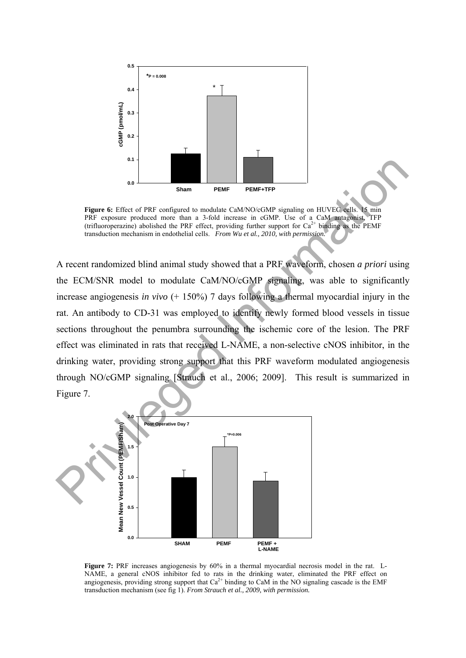

Figure 6: Effect of PRF configured to modulate CaM/NO/cGMP signaling on HUVEC cells. 15 min PRF exposure produced more than a 3-fold increase in cGMP. Use of a CaM antagonist, TFP (trifluoroperazine) abolished the PRF effect, providing further support for  $Ca^{2+}$  binding as the PEMF transduction mechanism in endothelial cells. *From Wu et al., 2010, with permission.*

A recent randomized blind animal study showed that a PRF waveform, chosen *a priori* using the ECM/SNR model to modulate CaM/NO/cGMP signaling, was able to significantly increase angiogenesis *in vivo* (+ 150%) 7 days following a thermal myocardial injury in the rat. An antibody to CD-31 was employed to identify newly formed blood vessels in tissue sections throughout the penumbra surrounding the ischemic core of the lesion. The PRF effect was eliminated in rats that received L-NAME, a non-selective cNOS inhibitor, in the drinking water, providing strong support that this PRF waveform modulated angiogenesis through NO/cGMP signaling [Strauch et al., 2006; 2009]. This result is summarized in Figure 7. **Example 19 Constructed In a streamediate CMANO:** SCMP signaling on HIVFC, which the PRF respective privileged Interest and a streamediate contained In the actual interest in cGMANO: The case in the case of the case of the



**Figure 7:** PRF increases angiogenesis by 60% in a thermal myocardial necrosis model in the rat. L-NAME, a general cNOS inhibitor fed to rats in the drinking water, eliminated the PRF effect on angiogenesis, providing strong support that  $Ca^{2+}$  binding to CaM in the NO signaling cascade is the EMF transduction mechanism (see fig 1). *From Strauch et al., 2009, with permission.*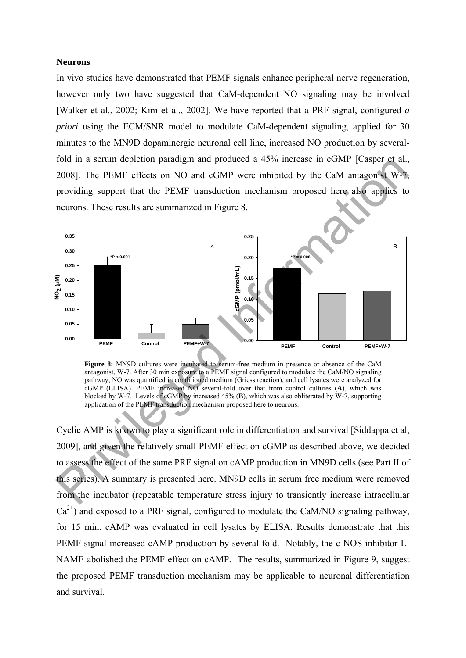#### **Neurons**

In vivo studies have demonstrated that PEMF signals enhance peripheral nerve regeneration, however only two have suggested that CaM-dependent NO signaling may be involved [Walker et al., 2002; Kim et al., 2002]. We have reported that a PRF signal, configured *a priori* using the ECM/SNR model to modulate CaM-dependent signaling, applied for 30 minutes to the MN9D dopaminergic neuronal cell line, increased NO production by severalfold in a serum depletion paradigm and produced a 45% increase in cGMP [Casper et al., 2008]. The PEMF effects on NO and cGMP were inhibited by the CaM antagonist W-7, providing support that the PEMF transduction mechanism proposed here also applies to neurons. These results are summarized in Figure 8.



**Figure 8:** MN9D cultures were incubated to serum-free medium in presence or absence of the CaM antagonist, W-7. After 30 min exposure to a PEMF signal configured to modulate the CaM/NO signaling pathway, NO was quantified in conditioned medium (Griess reaction), and cell lysates were analyzed for cGMP (ELISA). PEMF increased NO several-fold over that from control cultures (**A**), which was blocked by W-7. Levels of cGMP by increased 45% (**B**), which was also obliterated by W-7, supporting application of the PEMF transduction mechanism proposed here to neurons.

Cyclic AMP is known to play a significant role in differentiation and survival [Siddappa et al, 2009], and given the relatively small PEMF effect on cGMP as described above, we decided to assess the effect of the same PRF signal on cAMP production in MN9D cells (see Part II of this series). A summary is presented here. MN9D cells in serum free medium were removed from the incubator (repeatable temperature stress injury to transiently increase intracellular  $Ca<sup>2+</sup>$ ) and exposed to a PRF signal, configured to modulate the CaM/NO signaling pathway, for 15 min. cAMP was evaluated in cell lysates by ELISA. Results demonstrate that this PEMF signal increased cAMP production by several-fold. Notably, the c-NOS inhibitor L-NAME abolished the PEMF effect on cAMP. The results, summarized in Figure 9, suggest the proposed PEMF transduction mechanism may be applicable to neuronal differentiation and survival.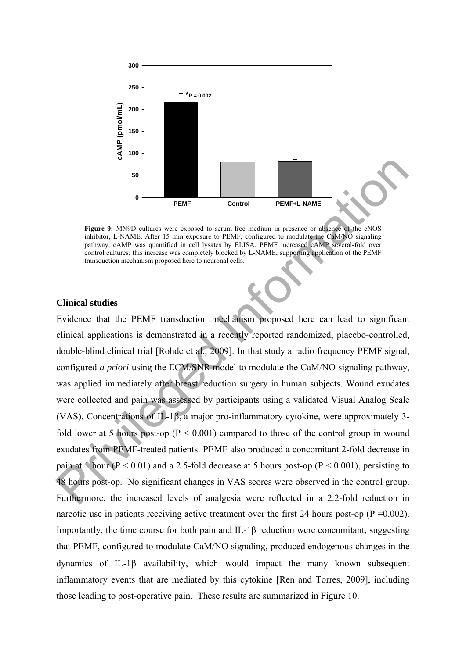

**Figure 9:** MN9D cultures were exposed to serum-free medium in presence or absence of the cNOS inhibitor, L-NAME. After 15 min exposure to PEMF, configured to modulate the CaM/NO signaling pathway, cAMP was quantified in cell lysates by ELISA. PEMF increased cAMP several-fold over control cultures; this increase was completely blocked by L-NAME, supporting application of the PEMF transduction mechanism proposed here to neuronal cells.

#### **Clinical studies**

Evidence that the PEMF transduction mechanism proposed here can lead to significant clinical applications is demonstrated in a recently reported randomized, placebo-controlled, double-blind clinical trial [Rohde et al., 2009]. In that study a radio frequency PEMF signal, configured *a priori* using the ECM/SNR model to modulate the CaM/NO signaling pathway, was applied immediately after breast reduction surgery in human subjects. Wound exudates were collected and pain was assessed by participants using a validated Visual Analog Scale (VAS). Concentrations of IL-1 $\beta$ , a major pro-inflammatory cytokine, were approximately 3fold lower at 5 hours post-op ( $P < 0.001$ ) compared to those of the control group in wound exudates from PEMF-treated patients. PEMF also produced a concomitant 2-fold decrease in pain at 1 hour ( $P < 0.01$ ) and a 2.5-fold decrease at 5 hours post-op ( $P < 0.001$ ), persisting to 48 hours post-op. No significant changes in VAS scores were observed in the control group. Furthermore, the increased levels of analgesia were reflected in a 2.2-fold reduction in narcotic use in patients receiving active treatment over the first 24 hours post-op ( $P = 0.002$ ). Importantly, the time course for both pain and IL-1β reduction were concomitant, suggesting that PEMF, configured to modulate CaM/NO signaling, produced endogenous changes in the dynamics of IL-1 $\beta$  availability, which would impact the many known subsequent inflammatory events that are mediated by this cytokine [Ren and Torres, 2009], including those leading to post-operative pain. These results are summarized in Figure 10. **FORT CONSTRAY CONSTRAY CONSTRAY (SCALL THE SUBDAMERY CONSTRAKT)**<br> **PERFECT 2:** MNOP callust were exposed to secure free medium in presence or absence Ms as one including the second of the control of the extent for the pr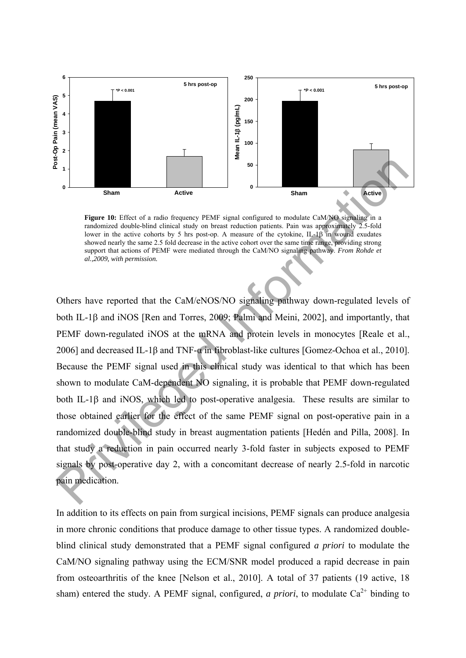

Figure 10: Effect of a radio frequency PEMF signal configured to modulate CaM/NO signaling in a randomized double-blind clinical study on breast reduction patients. Pain was approximately 2.5-fold lower in the active cohorts by 5 hrs post-op. A measure of the cytokine, IL-1 $\beta$  in wound exudates showed nearly the same 2.5 fold decrease in the active cohort over the same time range, providing strong support that actions of PEMF were mediated through the CaM/NO signaling pathway. *From Rohde et al.,2009, with permission.*

Others have reported that the CaM/eNOS/NO signaling pathway down-regulated levels of both IL-1 $\beta$  and iNOS [Ren and Torres, 2009; Palmi and Meini, 2002], and importantly, that PEMF down-regulated iNOS at the mRNA and protein levels in monocytes [Reale et al., 2006] and decreased IL-1β and TNF-α in fibroblast-like cultures [Gomez-Ochoa et al., 2010]. Because the PEMF signal used in this clinical study was identical to that which has been shown to modulate CaM-dependent NO signaling, it is probable that PEMF down-regulated both IL-1 $\beta$  and iNOS, which led to post-operative analgesia. These results are similar to those obtained earlier for the effect of the same PEMF signal on post-operative pain in a randomized double-blind study in breast augmentation patients [Hedén and Pilla, 2008]. In that study a reduction in pain occurred nearly 3-fold faster in subjects exposed to PEMF signals by post-operative day 2, with a concomitant decrease of nearly 2.5-fold in narcotic pain medication. **Example 19**<br> **Example 19**<br> **Example 19**<br> **Example 19**<br> **Example 10:** Effect of a radio frequency PEMF signal configured to modulate CaMANO signal and randomized double-blind clinical maty on bease reduction patients. Pai

In addition to its effects on pain from surgical incisions, PEMF signals can produce analgesia in more chronic conditions that produce damage to other tissue types. A randomized doubleblind clinical study demonstrated that a PEMF signal configured *a priori* to modulate the CaM/NO signaling pathway using the ECM/SNR model produced a rapid decrease in pain from osteoarthritis of the knee [Nelson et al., 2010]. A total of 37 patients (19 active, 18 sham) entered the study. A PEMF signal, configured, *a priori*, to modulate  $Ca^{2+}$  binding to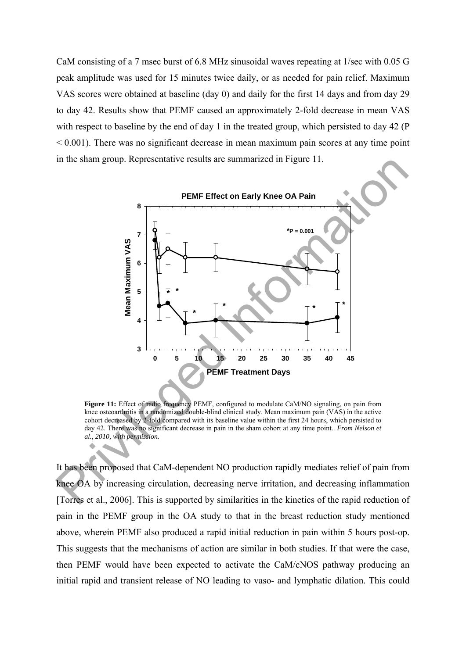CaM consisting of a 7 msec burst of 6.8 MHz sinusoidal waves repeating at 1/sec with 0.05 G peak amplitude was used for 15 minutes twice daily, or as needed for pain relief. Maximum VAS scores were obtained at baseline (day 0) and daily for the first 14 days and from day 29 to day 42. Results show that PEMF caused an approximately 2-fold decrease in mean VAS with respect to baseline by the end of day 1 in the treated group, which persisted to day 42 (P  $\leq 0.001$ ). There was no significant decrease in mean maximum pain scores at any time point in the sham group. Representative results are summarized in Figure 11.



**Figure 11:** Effect of radio frequency PEMF, configured to modulate CaM/NO signaling, on pain from knee osteoarthritis in a randomized double-blind clinical study. Mean maximum pain (VAS) in the active cohort decreased by 2-fold compared with its baseline value within the first 24 hours, which persisted to day 42. There was no significant decrease in pain in the sham cohort at any time point.. *From Nelson et al., 2010, with permission.*

It has been proposed that CaM-dependent NO production rapidly mediates relief of pain from knee OA by increasing circulation, decreasing nerve irritation, and decreasing inflammation [Torres et al., 2006]. This is supported by similarities in the kinetics of the rapid reduction of pain in the PEMF group in the OA study to that in the breast reduction study mentioned above, wherein PEMF also produced a rapid initial reduction in pain within 5 hours post-op. This suggests that the mechanisms of action are similar in both studies. If that were the case, then PEMF would have been expected to activate the CaM/cNOS pathway producing an initial rapid and transient release of NO leading to vaso- and lymphatic dilation. This could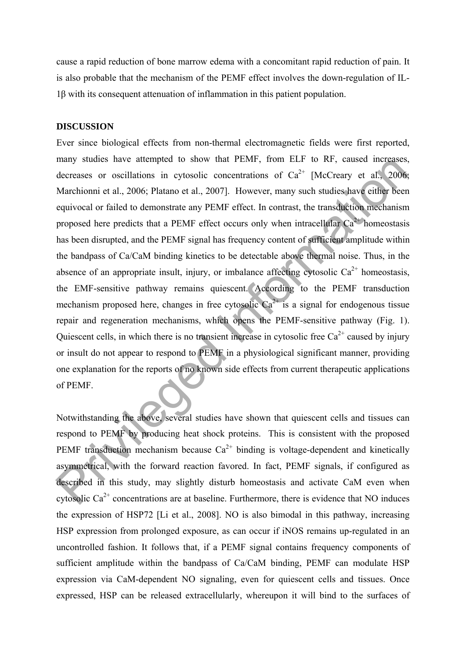cause a rapid reduction of bone marrow edema with a concomitant rapid reduction of pain. It is also probable that the mechanism of the PEMF effect involves the down-regulation of IL-1β with its consequent attenuation of inflammation in this patient population.

### **DISCUSSION**

Ever since biological effects from non-thermal electromagnetic fields were first reported, many studies have attempted to show that PEMF, from ELF to RF, caused increases, decreases or oscillations in cytosolic concentrations of  $Ca^{2+}$  [McCreary et al., 2006; Marchionni et al., 2006; Platano et al., 2007]. However, many such studies have either been equivocal or failed to demonstrate any PEMF effect. In contrast, the transduction mechanism proposed here predicts that a PEMF effect occurs only when intracellular  $Ca^{2+}$  homeostasis has been disrupted, and the PEMF signal has frequency content of sufficient amplitude within the bandpass of Ca/CaM binding kinetics to be detectable above thermal noise. Thus, in the absence of an appropriate insult, injury, or imbalance affecting cytosolic  $Ca^{2+}$  homeostasis, the EMF-sensitive pathway remains quiescent. According to the PEMF transduction mechanism proposed here, changes in free cytosolic  $Ca^{2+}$  is a signal for endogenous tissue repair and regeneration mechanisms, which opens the PEMF-sensitive pathway (Fig. 1). Quiescent cells, in which there is no transient increase in cytosolic free  $Ca^{2+}$  caused by injury or insult do not appear to respond to PEMF in a physiological significant manner, providing one explanation for the reports of no known side effects from current therapeutic applications of PEMF. many studes have attempted to show that PEMF, rom ELF to KF, caused increases,<br>decreases or oscillations in cytosolic concentrations of Ca<sup>2+</sup> [MeCreary et al., 2006;<br>Marchiomi et al., 2006; Platano et al., 2007]. However

Notwithstanding the above, several studies have shown that quiescent cells and tissues can respond to PEMF by producing heat shock proteins. This is consistent with the proposed PEMF transduction mechanism because  $Ca^{2+}$  binding is voltage-dependent and kinetically asymmetrical, with the forward reaction favored. In fact, PEMF signals, if configured as described in this study, may slightly disturb homeostasis and activate CaM even when cytosolic  $Ca^{2+}$  concentrations are at baseline. Furthermore, there is evidence that NO induces the expression of HSP72 [Li et al., 2008]. NO is also bimodal in this pathway, increasing HSP expression from prolonged exposure, as can occur if iNOS remains up-regulated in an uncontrolled fashion. It follows that, if a PEMF signal contains frequency components of sufficient amplitude within the bandpass of Ca/CaM binding, PEMF can modulate HSP expression via CaM-dependent NO signaling, even for quiescent cells and tissues. Once expressed, HSP can be released extracellularly, whereupon it will bind to the surfaces of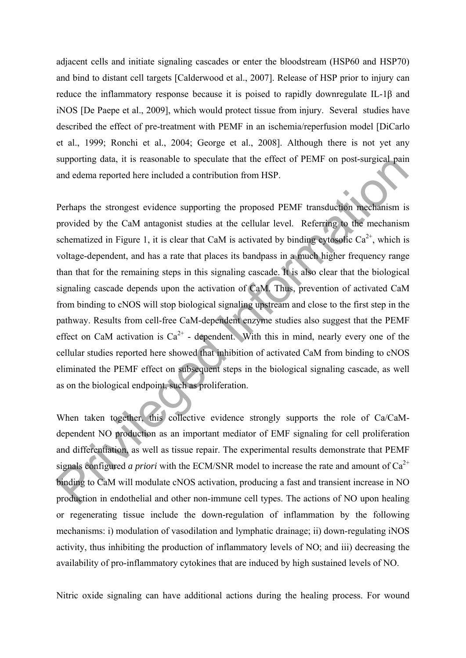adjacent cells and initiate signaling cascades or enter the bloodstream (HSP60 and HSP70) and bind to distant cell targets [Calderwood et al., 2007]. Release of HSP prior to injury can reduce the inflammatory response because it is poised to rapidly downregulate IL-1β and iNOS [De Paepe et al., 2009], which would protect tissue from injury. Several studies have described the effect of pre-treatment with PEMF in an ischemia/reperfusion model [DiCarlo et al., 1999; Ronchi et al., 2004; George et al., 2008]. Although there is not yet any supporting data, it is reasonable to speculate that the effect of PEMF on post-surgical pain and edema reported here included a contribution from HSP.

Perhaps the strongest evidence supporting the proposed PEMF transduction mechanism is provided by the CaM antagonist studies at the cellular level. Referring to the mechanism schematized in Figure 1, it is clear that CaM is activated by binding cytosolic  $Ca^{2+}$ , which is voltage-dependent, and has a rate that places its bandpass in a much higher frequency range than that for the remaining steps in this signaling cascade. It is also clear that the biological signaling cascade depends upon the activation of CaM. Thus, prevention of activated CaM from binding to cNOS will stop biological signaling upstream and close to the first step in the pathway. Results from cell-free CaM-dependent enzyme studies also suggest that the PEMF effect on CaM activation is  $Ca^{2+}$  - dependent. With this in mind, nearly every one of the cellular studies reported here showed that inhibition of activated CaM from binding to cNOS eliminated the PEMF effect on subsequent steps in the biological signaling cascade, as well as on the biological endpoint, such as proliferation. supporting data, it is reasonable to speculate that the effect of *PENI* con post-surgical pain<br>and edema reported here included a contribution from HSP.<br>Perhaps the strongest evidence supporting the proposed PEMF transdu

When taken together, this collective evidence strongly supports the role of Ca/CaMdependent NO production as an important mediator of EMF signaling for cell proliferation and differentiation, as well as tissue repair. The experimental results demonstrate that PEMF signals configured *a priori* with the ECM/SNR model to increase the rate and amount of  $Ca^{2+}$ binding to CaM will modulate cNOS activation, producing a fast and transient increase in NO production in endothelial and other non-immune cell types. The actions of NO upon healing or regenerating tissue include the down-regulation of inflammation by the following mechanisms: i) modulation of vasodilation and lymphatic drainage; ii) down-regulating iNOS activity, thus inhibiting the production of inflammatory levels of NO; and iii) decreasing the availability of pro-inflammatory cytokines that are induced by high sustained levels of NO.

Nitric oxide signaling can have additional actions during the healing process. For wound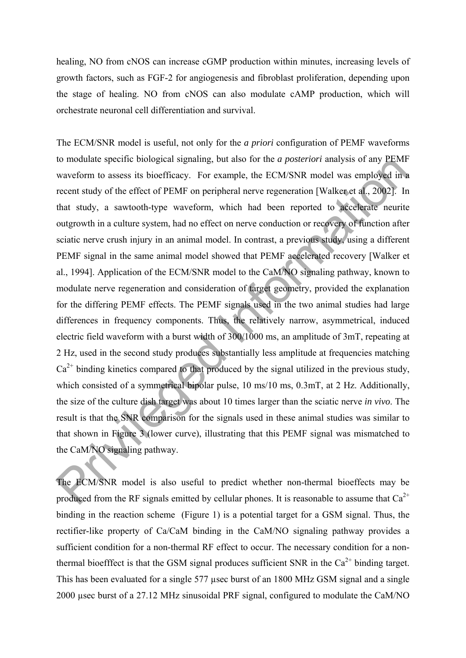healing, NO from cNOS can increase cGMP production within minutes, increasing levels of growth factors, such as FGF-2 for angiogenesis and fibroblast proliferation, depending upon the stage of healing. NO from cNOS can also modulate cAMP production, which will orchestrate neuronal cell differentiation and survival.

The ECM/SNR model is useful, not only for the *a priori* configuration of PEMF waveforms to modulate specific biological signaling, but also for the *a posteriori* analysis of any PEMF waveform to assess its bioefficacy. For example, the ECM/SNR model was employed in a recent study of the effect of PEMF on peripheral nerve regeneration [Walker et al., 2002]. In that study, a sawtooth-type waveform, which had been reported to accelerate neurite outgrowth in a culture system, had no effect on nerve conduction or recovery of function after sciatic nerve crush injury in an animal model. In contrast, a previous study, using a different PEMF signal in the same animal model showed that PEMF accelerated recovery [Walker et al., 1994]. Application of the ECM/SNR model to the CaM/NO signaling pathway, known to modulate nerve regeneration and consideration of target geometry, provided the explanation for the differing PEMF effects. The PEMF signals used in the two animal studies had large differences in frequency components. Thus, the relatively narrow, asymmetrical, induced electric field waveform with a burst width of 300/1000 ms, an amplitude of 3mT, repeating at 2 Hz, used in the second study produces substantially less amplitude at frequencies matching  $Ca<sup>2+</sup>$  binding kinetics compared to that produced by the signal utilized in the previous study, which consisted of a symmetrical bipolar pulse, 10 ms/10 ms, 0.3mT, at 2 Hz. Additionally, the size of the culture dish target was about 10 times larger than the sciatic nerve *in vivo*. The result is that the SNR comparison for the signals used in these animal studies was similar to that shown in Figure 3 (lower curve), illustrating that this PEMF signal was mismatched to the CaM/NO signaling pathway. to modulate spectro biological signaling, but also for the *a posteriori* analysis or any *PENI*<br>varyoform to assess its bioefficety. For cample, the ECM/SNR model was employed in<br>verschire recent study, a sawtooth-type w

The ECM/SNR model is also useful to predict whether non-thermal bioeffects may be produced from the RF signals emitted by cellular phones. It is reasonable to assume that  $Ca^{2+}$ binding in the reaction scheme (Figure 1) is a potential target for a GSM signal. Thus, the rectifier-like property of Ca/CaM binding in the CaM/NO signaling pathway provides a sufficient condition for a non-thermal RF effect to occur. The necessary condition for a nonthermal bioefffect is that the GSM signal produces sufficient SNR in the  $Ca<sup>2+</sup>$  binding target. This has been evaluated for a single 577 µsec burst of an 1800 MHz GSM signal and a single 2000 µsec burst of a 27.12 MHz sinusoidal PRF signal, configured to modulate the CaM/NO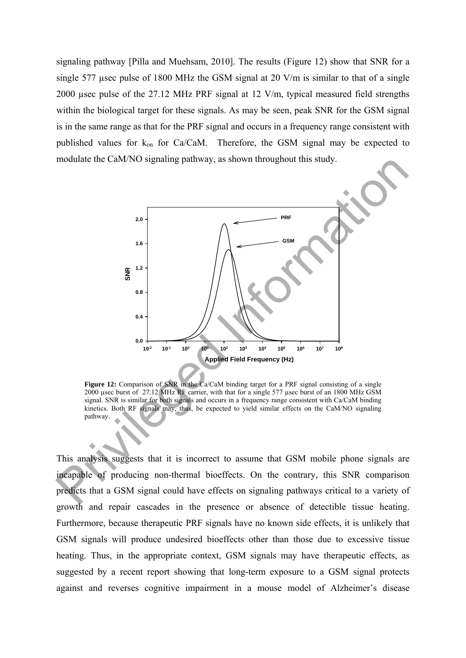signaling pathway [Pilla and Muehsam, 2010]. The results (Figure 12) show that SNR for a single 577 usec pulse of 1800 MHz the GSM signal at 20 V/m is similar to that of a single 2000 µsec pulse of the 27.12 MHz PRF signal at 12 V/m, typical measured field strengths within the biological target for these signals. As may be seen, peak SNR for the GSM signal is in the same range as that for the PRF signal and occurs in a frequency range consistent with published values for  $k_{on}$  for Ca/CaM. Therefore, the GSM signal may be expected to modulate the CaM/NO signaling pathway, as shown throughout this study.



Figure 12: Comparison of SNR in the Ca/CaM binding target for a PRF signal consisting of a single 2000 µsec burst of 27.12 MHz RF carrier, with that for a single 577 µsec burst of an 1800 MHz GSM signal. SNR is similar for both signals and occurs in a frequency range consistent with Ca/CaM binding kinetics. Both RF signals may, thus, be expected to yield similar effects on the CaM/NO signaling pathway.

This analysis suggests that it is incorrect to assume that GSM mobile phone signals are incapable of producing non-thermal bioeffects. On the contrary, this SNR comparison predicts that a GSM signal could have effects on signaling pathways critical to a variety of growth and repair cascades in the presence or absence of detectible tissue heating. Furthermore, because therapeutic PRF signals have no known side effects, it is unlikely that GSM signals will produce undesired bioeffects other than those due to excessive tissue heating. Thus, in the appropriate context, GSM signals may have therapeutic effects, as suggested by a recent report showing that long-term exposure to a GSM signal protects against and reverses cognitive impairment in a mouse model of Alzheimer's disease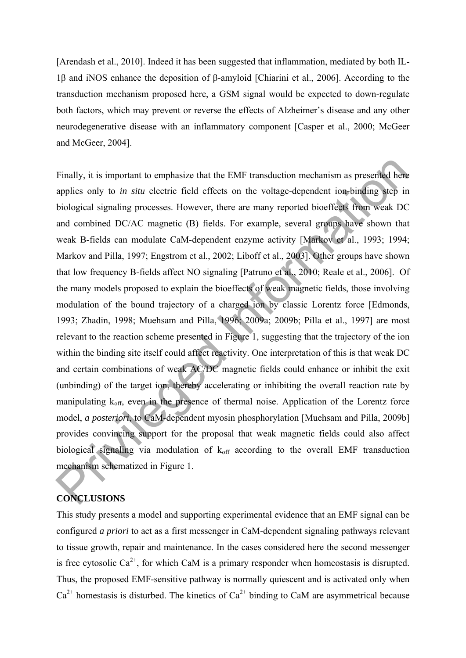[Arendash et al., 2010]. Indeed it has been suggested that inflammation, mediated by both IL-1β and iNOS enhance the deposition of β-amyloid [Chiarini et al., 2006]. According to the transduction mechanism proposed here, a GSM signal would be expected to down-regulate both factors, which may prevent or reverse the effects of Alzheimer's disease and any other neurodegenerative disease with an inflammatory component [Casper et al., 2000; McGeer and McGeer, 2004].

Finally, it is important to emphasize that the EMF transduction mechanism as presented here applies only to *in situ* electric field effects on the voltage-dependent ion-binding step in biological signaling processes. However, there are many reported bioeffects from weak DC and combined DC/AC magnetic (B) fields. For example, several groups have shown that weak B-fields can modulate CaM-dependent enzyme activity [Markov et al., 1993; 1994; Markov and Pilla, 1997; Engstrom et al., 2002; Liboff et al., 2003]. Other groups have shown that low frequency B-fields affect NO signaling [Patruno et al., 2010; Reale et al., 2006]. Of the many models proposed to explain the bioeffects of weak magnetic fields, those involving modulation of the bound trajectory of a charged ion by classic Lorentz force [Edmonds, 1993; Zhadin, 1998; Muehsam and Pilla, 1996; 2009a; 2009b; Pilla et al., 1997] are most relevant to the reaction scheme presented in Figure 1, suggesting that the trajectory of the ion within the binding site itself could affect reactivity. One interpretation of this is that weak DC and certain combinations of weak AC/DC magnetic fields could enhance or inhibit the exit (unbinding) of the target ion, thereby accelerating or inhibiting the overall reaction rate by manipulating  $k_{off}$ , even in the presence of thermal noise. Application of the Lorentz force model, *a posteriori*, to CaM-dependent myosin phosphorylation [Muehsam and Pilla, 2009b] provides convincing support for the proposal that weak magnetic fields could also affect biological signaling via modulation of  $k<sub>off</sub>$  according to the overall EMF transduction mechanism schematized in Figure 1. Finally, it is important to emphasize that the EMF transduction mechanism as presented her<br>applies only to *in situ* electric field effects on the voltage-dependent ion-binding step in<br>biological signaling processes. Howe

## **CONCLUSIONS**

This study presents a model and supporting experimental evidence that an EMF signal can be configured *a priori* to act as a first messenger in CaM-dependent signaling pathways relevant to tissue growth, repair and maintenance. In the cases considered here the second messenger is free cytosolic  $Ca^{2+}$ , for which CaM is a primary responder when homeostasis is disrupted. Thus, the proposed EMF-sensitive pathway is normally quiescent and is activated only when  $Ca<sup>2+</sup>$  homestasis is disturbed. The kinetics of  $Ca<sup>2+</sup>$  binding to CaM are asymmetrical because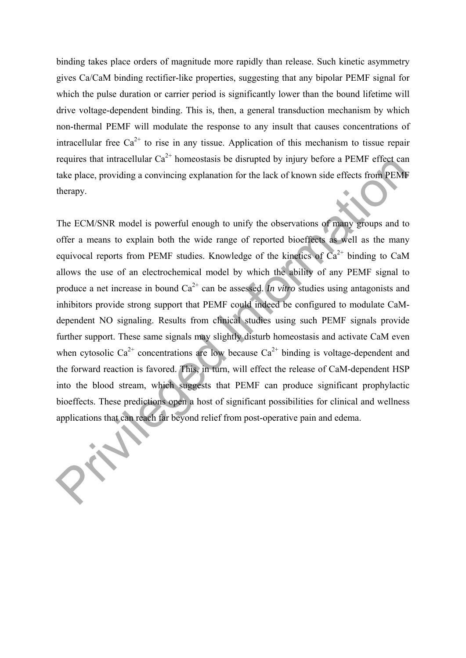binding takes place orders of magnitude more rapidly than release. Such kinetic asymmetry gives Ca/CaM binding rectifier-like properties, suggesting that any bipolar PEMF signal for which the pulse duration or carrier period is significantly lower than the bound lifetime will drive voltage-dependent binding. This is, then, a general transduction mechanism by which non-thermal PEMF will modulate the response to any insult that causes concentrations of intracellular free  $Ca^{2+}$  to rise in any tissue. Application of this mechanism to tissue repair requires that intracellular  $Ca^{2+}$  homeostasis be disrupted by injury before a PEMF effect can take place, providing a convincing explanation for the lack of known side effects from PEMF therapy.

The ECM/SNR model is powerful enough to unify the observations of many groups and to offer a means to explain both the wide range of reported bioeffects as well as the many equivocal reports from PEMF studies. Knowledge of the kinetics of  $Ca^{2+}$  binding to CaM allows the use of an electrochemical model by which the ability of any PEMF signal to produce a net increase in bound  $Ca^{2+}$  can be assessed. *In vitro* studies using antagonists and inhibitors provide strong support that PEMF could indeed be configured to modulate CaMdependent NO signaling. Results from clinical studies using such PEMF signals provide further support. These same signals may slightly disturb homeostasis and activate CaM even when cytosolic  $Ca^{2+}$  concentrations are low because  $Ca^{2+}$  binding is voltage-dependent and the forward reaction is favored. This, in turn, will effect the release of CaM-dependent HSP into the blood stream, which suggests that PEMF can produce significant prophylactic bioeffects. These predictions open a host of significant possibilities for clinical and wellness applications that can reach far beyond relief from post-operative pain and edema. requires that intracentius Can connecessas be distupled by injury before a PENIF errect can<br>take place, providing a convincing explanation for the lack of known side effects from PEMI<br>therapy.<br>The ECM/SNR model is powerfu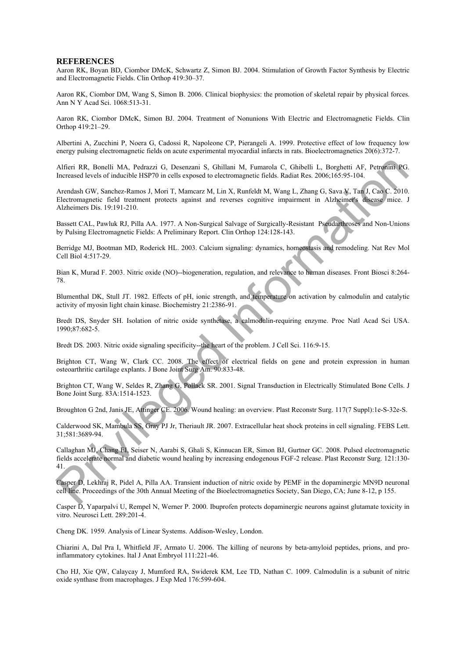#### **REFERENCES**

Aaron RK, Boyan BD, Ciombor DMcK, Schwartz Z, Simon BJ. 2004. Stimulation of Growth Factor Synthesis by Electric and Electromagnetic Fields. Clin Orthop 419:30–37.

Aaron RK, Ciombor DM, Wang S, Simon B. 2006. Clinical biophysics: the promotion of skeletal repair by physical forces. Ann N Y Acad Sci. 1068:513-31.

Aaron RK, Ciombor DMcK, Simon BJ. 2004. Treatment of Nonunions With Electric and Electromagnetic Fields. Clin Orthop 419:21–29.

Albertini A, Zucchini P, Noera G, Cadossi R, Napoleone CP, Pierangeli A. 1999. Protective effect of low frequency low energy pulsing electromagnetic fields on acute experimental myocardial infarcts in rats. Bioelectromagnetics 20(6):372-7.

Alfieri RR, Bonelli MA, Pedrazzi G, Desenzani S, Ghillani M, Fumarola C, Ghibelli L, Borghetti AF, Petronini PG. Increased levels of inducible HSP70 in cells exposed to electromagnetic fields. Radiat Res. 2006;165:95-104.

Arendash GW, Sanchez-Ramos J, Mori T, Mamcarz M, Lin X, Runfeldt M, Wang L, Zhang G, Sava V, Tan J, Cao C. 2010. Electromagnetic field treatment protects against and reverses cognitive impairment in Alzheimer's disease mice. J Alzheimers Dis. 19:191-210. Afferi RR, Donelli MA, Pedinszzi G, Desenzari S, Ghilhari M, Fumarola C, Ghibelli L, Dongheli AF, Peruntin RC<br>Increased Steels of manular ERF70 m cells respued to electromagnetic fields. Radia: Res. 2006; (16575-101<br>Arend

Bassett CAL, Pawluk RJ, Pilla AA. 1977. A Non-Surgical Salvage of Surgically-Resistant Pseudarthroses and Non-Unions by Pulsing Electromagnetic Fields: A Preliminary Report. Clin Orthop 124:128-143.

Berridge MJ, Bootman MD, Roderick HL. 2003. Calcium signaling: dynamics, homeostasis and remodeling. Nat Rev Mol Cell Biol 4:517-29.

Bian K, Murad F. 2003. Nitric oxide (NO)--biogeneration, regulation, and relevance to human diseases. Front Biosci 8:264- 78.

Blumenthal DK, Stull JT. 1982. Effects of pH, ionic strength, and temperature on activation by calmodulin and catalytic activity of myosin light chain kinase. Biochemistry 21:2386-91.

Bredt DS, Snyder SH. Isolation of nitric oxide synthetase, a calmodulin-requiring enzyme. Proc Natl Acad Sci USA. 1990;87:682-5.

Bredt DS. 2003. Nitric oxide signaling specificity--the heart of the problem. J Cell Sci. 116:9-15.

Brighton CT, Wang W, Clark CC. 2008. The effect of electrical fields on gene and protein expression in human osteoarthritic cartilage explants. J Bone Joint Surg Am. 90:833-48.

Brighton CT, Wang W, Seldes R, Zhang G, Pollack SR. 2001. Signal Transduction in Electrically Stimulated Bone Cells. J Bone Joint Surg. 83A:1514-1523.

Broughton G 2nd, Janis JE, Attinger CE. 2006. Wound healing: an overview. Plast Reconstr Surg. 117(7 Suppl):1e-S-32e-S.

Calderwood SK, Mambula SS, Gray PJ Jr, Theriault JR. 2007. Extracellular heat shock proteins in cell signaling. FEBS Lett. 31;581:3689-94.

Callaghan MJ, Chang EI, Seiser N, Aarabi S, Ghali S, Kinnucan ER, Simon BJ, Gurtner GC. 2008. Pulsed electromagnetic fields accelerate normal and diabetic wound healing by increasing endogenous FGF-2 release. Plast Reconstr Surg. 121:130- 41.

Casper D, Lekhraj R, Pidel A, Pilla AA. Transient induction of nitric oxide by PEMF in the dopaminergic MN9D neuronal cell line. Proceedings of the 30th Annual Meeting of the Bioelectromagnetics Society, San Diego, CA; June 8-12, p 155.

Casper D, Yaparpalvi U, Rempel N, Werner P. 2000. Ibuprofen protects dopaminergic neurons against glutamate toxicity in vitro. Neurosci Lett. 289:201-4.

Cheng DK. 1959. Analysis of Linear Systems. Addison-Wesley, London.

Chiarini A, Dal Pra I, Whitfield JF, Armato U. 2006. The killing of neurons by beta-amyloid peptides, prions, and proinflammatory cytokines. Ital J Anat Embryol 111:221-46.

Cho HJ, Xie QW, Calaycay J, Mumford RA, Swiderek KM, Lee TD, Nathan C. 1009. Calmodulin is a subunit of nitric oxide synthase from macrophages. J Exp Med 176:599-604.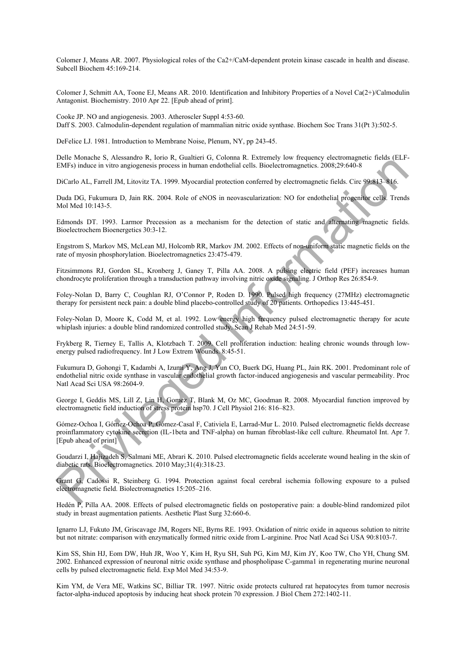Colomer J, Means AR. 2007. Physiological roles of the Ca2+/CaM-dependent protein kinase cascade in health and disease. Subcell Biochem 45:169-214.

Colomer J, Schmitt AA, Toone EJ, Means AR. 2010. Identification and Inhibitory Properties of a Novel Ca(2+)/Calmodulin Antagonist. Biochemistry. 2010 Apr 22. [Epub ahead of print].

Cooke JP. NO and angiogenesis. 2003. Atheroscler Suppl 4:53-60. Daff S. 2003. Calmodulin-dependent regulation of mammalian nitric oxide synthase. Biochem Soc Trans 31(Pt 3):502-5.

DeFelice LJ. 1981. Introduction to Membrane Noise, Plenum, NY, pp 243-45.

Delle Monache S, Alessandro R, Iorio R, Gualtieri G, Colonna R. Extremely low frequency electromagnetic fields (ELF-EMFs) induce in vitro angiogenesis process in human endothelial cells. Bioelectromagnetics. 2008;29:640-8

DiCarlo AL, Farrell JM, Litovitz TA. 1999. Myocardial protection conferred by electromagnetic fields. Circ 99:813–816.

Duda DG, Fukumura D, Jain RK. 2004. Role of eNOS in neovascularization: NO for endothelial progenitor cells. Trends Mol Med 10:143-5.

Edmonds DT. 1993. Larmor Precession as a mechanism for the detection of static and alternating magnetic fields. Bioelectrochem Bioenergetics 30:3-12.

Engstrom S, Markov MS, McLean MJ, Holcomb RR, Markov JM. 2002. Effects of non-uniform static magnetic fields on the rate of myosin phosphorylation. Bioelectromagnetics 23:475-479.

Fitzsimmons RJ, Gordon SL, Kronberg J, Ganey T, Pilla AA. 2008. A pulsing electric field (PEF) increases human chondrocyte proliferation through a transduction pathway involving nitric oxide signaling. J Orthop Res 26:854-9.

Foley-Nolan D, Barry C, Coughlan RJ, O'Connor P, Roden D. 1990. Pulsed high frequency (27MHz) electromagnetic therapy for persistent neck pain: a double blind placebo-controlled study of 20 patients. Orthopedics 13:445-451.

Foley-Nolan D, Moore K, Codd M, et al. 1992. Low energy high frequency pulsed electromagnetic therapy for acute whiplash injuries: a double blind randomized controlled study. Scan J Rehab Med 24:51-59.

Frykberg R, Tierney E, Tallis A, Klotzbach T. 2009. Cell proliferation induction: healing chronic wounds through lowenergy pulsed radiofrequency. Int J Low Extrem Wounds. 8:45-51.

Fukumura D, Gohongi T, Kadambi A, Izumi Y, Ang J, Yun CO, Buerk DG, Huang PL, Jain RK. 2001. Predominant role of endothelial nitric oxide synthase in vascular endothelial growth factor-induced angiogenesis and vascular permeability. Proc Natl Acad Sci USA 98:2604-9. ENEY) midses in "Anxious of Action in the Communication (and the Communication in the Control of the Control of the Control of the Control of the Control of the Control of the Control of the Control of the Control of the

George I, Geddis MS, Lill Z, Lin H, Gomez T, Blank M, Oz MC, Goodman R. 2008. Myocardial function improved by electromagnetic field induction of stress protein hsp70. J Cell Physiol 216: 816–823.

Gómez-Ochoa I, Gómez-Ochoa P, Gómez-Casal F, Cativiela E, Larrad-Mur L. 2010. Pulsed electromagnetic fields decrease proinflammatory cytokine secretion (IL-1beta and TNF-alpha) on human fibroblast-like cell culture. Rheumatol Int. Apr 7. [Epub ahead of print]

Goudarzi I, Hajizadeh S, Salmani ME, Abrari K. 2010. Pulsed electromagnetic fields accelerate wound healing in the skin of diabetic rats. Bioelectromagnetics. 2010 May;31(4):318-23.

Grant G, Cadossi R, Steinberg G. 1994. Protection against focal cerebral ischemia following exposure to a pulsed electromagnetic field. Biolectromagnetics 15:205–216.

Hedén P, Pilla AA. 2008. Effects of pulsed electromagnetic fields on postoperative pain: a double-blind randomized pilot study in breast augmentation patients. Aesthetic Plast Surg 32:660-6.

Ignarro LJ, Fukuto JM, Griscavage JM, Rogers NE, Byrns RE. 1993. Oxidation of nitric oxide in aqueous solution to nitrite but not nitrate: comparison with enzymatically formed nitric oxide from L-arginine. Proc Natl Acad Sci USA 90:8103-7.

Kim SS, Shin HJ, Eom DW, Huh JR, Woo Y, Kim H, Ryu SH, Suh PG, Kim MJ, Kim JY, Koo TW, Cho YH, Chung SM. 2002. Enhanced expression of neuronal nitric oxide synthase and phospholipase C-gamma1 in regenerating murine neuronal cells by pulsed electromagnetic field. Exp Mol Med 34:53-9.

Kim YM, de Vera ME, Watkins SC, Billiar TR. 1997. Nitric oxide protects cultured rat hepatocytes from tumor necrosis factor-alpha-induced apoptosis by inducing heat shock protein 70 expression. J Biol Chem 272:1402-11.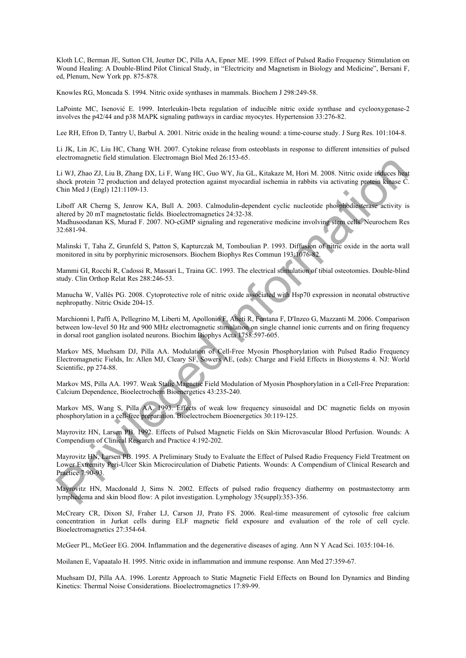Kloth LC, Berman JE, Sutton CH, Jeutter DC, Pilla AA, Epner ME. 1999. Effect of Pulsed Radio Frequency Stimulation on Wound Healing: A Double-Blind Pilot Clinical Study, in "Electricity and Magnetism in Biology and Medicine", Bersani F, ed, Plenum, New York pp. 875-878.

Knowles RG, Moncada S. 1994. Nitric oxide synthases in mammals. Biochem J 298:249-58.

LaPointe MC, Isenović E. 1999. Interleukin-1beta regulation of inducible nitric oxide synthase and cyclooxygenase-2 involves the p42/44 and p38 MAPK signaling pathways in cardiac myocytes. Hypertension 33:276-82.

Lee RH, Efron D, Tantry U, Barbul A. 2001. Nitric oxide in the healing wound: a time-course study. J Surg Res. 101:104-8.

Li JK, Lin JC, Liu HC, Chang WH. 2007. Cytokine release from osteoblasts in response to different intensities of pulsed electromagnetic field stimulation. Electromagn Biol Med 26:153-65.

Li WJ, Zhao ZJ, Liu B, Zhang DX, Li F, Wang HC, Guo WY, Jia GL, Kitakaze M, Hori M. 2008. Nitric oxide induces heat shock protein 72 production and delayed protection against myocardial ischemia in rabbits via activating protein kinase C. Chin Med J (Engl) 121:1109-13.

Liboff AR Cherng S, Jenrow KA, Bull A. 2003. Calmodulin-dependent cyclic nucleotide phosphodiesterase activity is altered by 20 mT magnetostatic fields. Bioelectromagnetics 24:32-38. Madhusoodanan KS, Murad F. 2007. NO-cGMP signaling and regenerative medicine involving stem cells. Neurochem Res 32:681-94. ection and the material and the material and the set of the set of the set of the material and the set of the set of the set of the set of the Myndicus and the set of the Myndicus and delayed protection against myocaulal i

Malinski T, Taha Z, Grunfeld S, Patton S, Kapturczak M, Tomboulian P. 1993. Diffusion of nitric oxide in the aorta wall monitored in situ by porphyrinic microsensors. Biochem Biophys Res Commun 193:1076-82.

Mammi GI, Rocchi R, Cadossi R, Massari L, Traina GC. 1993. The electrical stimulation of tibial osteotomies. Double-blind study. Clin Orthop Relat Res 288:246-53.

Manucha W, Vallés PG. 2008. Cytoprotective role of nitric oxide associated with Hsp70 expression in neonatal obstructive nephropathy. Nitric Oxide 204-15.

Marchionni I, Paffi A, Pellegrino M, Liberti M, Apollonio F, Abeti R, Fontana F, D'Inzeo G, Mazzanti M. 2006. Comparison between low-level 50 Hz and 900 MHz electromagnetic stimulation on single channel ionic currents and on firing frequency in dorsal root ganglion isolated neurons. Biochim Biophys Acta 1758:597-605.

Markov MS, Muehsam DJ, Pilla AA. Modulation of Cell-Free Myosin Phosphorylation with Pulsed Radio Frequency Electromagnetic Fields, In: Allen MJ, Cleary SF, Sowers AE, (eds): Charge and Field Effects in Biosystems 4. NJ: World Scientific, pp 274-88.

Markov MS, Pilla AA. 1997. Weak Static Magnetic Field Modulation of Myosin Phosphorylation in a Cell-Free Preparation: Calcium Dependence, Bioelectrochem Bioenergetics 43:235-240.

Markov MS, Wang S, Pilla AA. 1993. Effects of weak low frequency sinusoidal and DC magnetic fields on myosin phosphorylation in a cell-free preparation. Bioelectrochem Bioenergetics 30:119-125.

Mayrovitz HN, Larsen PB. 1992. Effects of Pulsed Magnetic Fields on Skin Microvascular Blood Perfusion. Wounds: A Compendium of Clinical Research and Practice 4:192-202.

Mayrovitz HN, Larsen PB. 1995. A Preliminary Study to Evaluate the Effect of Pulsed Radio Frequency Field Treatment on Lower Extremity Peri-Ulcer Skin Microcirculation of Diabetic Patients. Wounds: A Compendium of Clinical Research and Practice 7:90-93.

Mayrovitz HN, Macdonald J, Sims N. 2002. Effects of pulsed radio frequency diathermy on postmastectomy arm lymphedema and skin blood flow: A pilot investigation. Lymphology 35(suppl):353-356.

McCreary CR, Dixon SJ, Fraher LJ, Carson JJ, Prato FS. 2006. Real-time measurement of cytosolic free calcium concentration in Jurkat cells during ELF magnetic field exposure and evaluation of the role of cell cycle. Bioelectromagnetics 27:354-64.

McGeer PL, McGeer EG. 2004. Inflammation and the degenerative diseases of aging. Ann N Y Acad Sci. 1035:104-16.

Moilanen E, Vapaatalo H. 1995. Nitric oxide in inflammation and immune response. Ann Med 27:359-67.

Muehsam DJ, Pilla AA. 1996. Lorentz Approach to Static Magnetic Field Effects on Bound Ion Dynamics and Binding Kinetics: Thermal Noise Considerations. Bioelectromagnetics 17:89-99.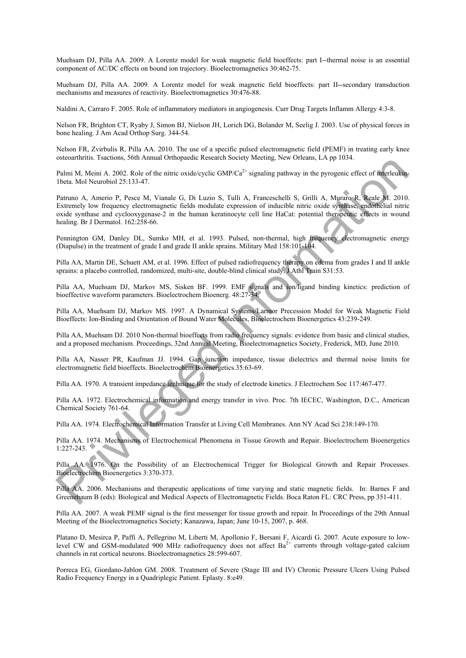Muehsam DJ, Pilla AA. 2009. A Lorentz model for weak magnetic field bioeffects: part I--thermal noise is an essential component of AC/DC effects on bound ion trajectory. Bioelectromagnetics 30:462-75.

Muehsam DJ, Pilla AA. 2009. A Lorentz model for weak magnetic field bioeffects: part II--secondary transduction mechanisms and measures of reactivity. Bioelectromagnetics 30:476-88.

Naldini A, Carraro F. 2005. Role of inflammatory mediators in angiogenesis. Curr Drug Targets Inflamm Allergy 4:3-8.

Nelson FR, Brighton CT, Ryaby J, Simon BJ, Nielson JH, Lorich DG, Bolander M, Seelig J. 2003. Use of physical forces in bone healing. J Am Acad Orthop Surg. 344-54.

Nelson FR, Zvirbulis R, Pilla AA. 2010. The use of a specific pulsed electromagnetic field (PEMF) in treating early knee osteoarthritis. Tsactions, 56th Annual Orthopaedic Research Society Meeting, New Orleans, LA pp 1034.

Palmi M, Meini A. 2002. Role of the nitric oxide/cyclic  $GMP/Ca^{2+}$  signaling pathway in the pyrogenic effect of interleukin-1beta. Mol Neurobiol 25:133-47.

Patruno A, Amerio P, Pesce M, Vianale G, Di Luzio S, Tulli A, Franceschelli S, Grilli A, Muraro R, Reale M. 2010. Extremely low frequency electromagnetic fields modulate expression of inducible nitric oxide synthase, endothelial nitric oxide synthase and cyclooxygenase-2 in the human keratinocyte cell line HaCat: potential therapeutic effects in wound healing. Br J Dermatol. 162:258-66. use annuarity states. Notice of the train contents to search steaded in the principal state. Not Neurobi 25:133.47.<br>
Primi M, Meini A. 2002. Role of the nuite coalectors GeW/Ca<sup>2</sup> signaling pathway in the pyroperior effect

Pennington GM, Danley DL, Sumko MH, et al. 1993. Pulsed, non-thermal, high frequency electromagnetic energy (Diapulse) in the treatment of grade I and grade II ankle sprains. Military Med 158:101-104.

Pilla AA, Martin DE, Schuett AM, et al. 1996. Effect of pulsed radiofrequency therapy on edema from grades I and II ankle sprains: a placebo controlled, randomized, multi-site, double-blind clinical study. J Athl Train S31:53.

Pilla AA, Muehsam DJ, Markov MS, Sisken BF. 1999. EMF signals and ion/ligand binding kinetics: prediction of bioeffective waveform parameters. Bioelectrochem Bioenerg. 48:27-34.

Pilla AA, Muehsam DJ, Markov MS. 1997. A Dynamical Systems/Larmor Precession Model for Weak Magnetic Field Bioeffects: Ion-Binding and Orientation of Bound Water Molecules, Bioelectrochem Bioenergetics 43:239-249.

Pilla AA, Muehsam DJ. 2010 Non-thermal bioeffects from radio frequency signals: evidence from basic and clinical studies, and a proposed mechanism. Proceedings, 32nd Annual Meeting, Bioelectromagnetics Society, Frederick, MD, June 2010.

Pilla AA, Nasser PR, Kaufman JJ. 1994. Gap junction impedance, tissue dielectrics and thermal noise limits for electromagnetic field bioeffects. Bioelectrochem Bioenergetics.35:63-69.

Pilla AA. 1970. A transient impedance technique for the study of electrode kinetics. J Electrochem Soc 117:467-477.

Pilla AA. 1972. Electrochemical information and energy transfer in vivo. Proc. 7th IECEC, Washington, D.C., American Chemical Society 761-64.

Pilla AA. 1974. Electrochemical Information Transfer at Living Cell Membranes. Ann NY Acad Sci 238:149-170.

Pilla AA. 1974. Mechanisms of Electrochemical Phenomena in Tissue Growth and Repair. Bioelectrochem Bioenergetics 1:227-243.

Pilla AA. 1976. On the Possibility of an Electrochemical Trigger for Biological Growth and Repair Processes. Bioelectrochem Bioenergetics 3:370-373.

Pilla AA. 2006. Mechanisms and therapeutic applications of time varying and static magnetic fields. In: Barnes F and Greenebaum B (eds): Biological and Medical Aspects of Electromagnetic Fields. Boca Raton FL: CRC Press, pp 351-411.

Pilla AA. 2007. A weak PEMF signal is the first messenger for tissue growth and repair. In Proceedings of the 29th Annual Meeting of the Bioelectromagnetics Society; Kanazawa, Japan; June 10-15, 2007, p. 468.

Platano D, Mesirca P, Paffi A, Pellegrino M, Liberti M, Apollonio F, Bersani F, Aicardi G. 2007. Acute exposure to lowlevel CW and GSM-modulated 900 MHz radiofrequency does not affect  $Ba^{2+}$  currents through voltage-gated calcium channels in rat cortical neurons. Bioelectromagnetics 28:599-607.

Porreca EG, Giordano-Jablon GM. 2008. Treatment of Severe (Stage III and IV) Chronic Pressure Ulcers Using Pulsed Radio Frequency Energy in a Quadriplegic Patient. Eplasty. 8:e49.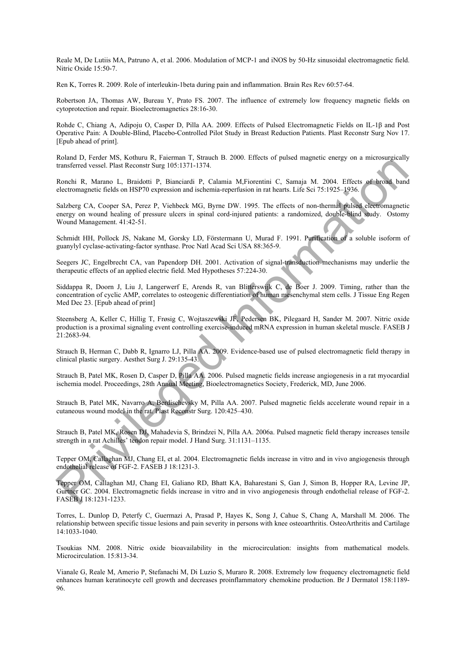Reale M, De Lutiis MA, Patruno A, et al. 2006. Modulation of MCP-1 and iNOS by 50-Hz sinusoidal electromagnetic field. Nitric Oxide 15:50-7.

Ren K, Torres R. 2009. Role of interleukin-1beta during pain and inflammation. Brain Res Rev 60:57-64.

Robertson JA, Thomas AW, Bureau Y, Prato FS. 2007. The influence of extremely low frequency magnetic fields on cytoprotection and repair. Bioelectromagnetics 28:16-30.

Rohde C, Chiang A, Adipoju O, Casper D, Pilla AA. 2009. Effects of Pulsed Electromagnetic Fields on IL-1β and Post Operative Pain: A Double-Blind, Placebo-Controlled Pilot Study in Breast Reduction Patients. Plast Reconstr Surg Nov 17. [Epub ahead of print].

Roland D, Ferder MS, Kothuru R, Faierman T, Strauch B. 2000. Effects of pulsed magnetic energy on a microsurgically transferred vessel. Plast Reconstr Surg 105:1371-1374.

Ronchi R, Marano L, Braidotti P, Bianciardi P, Calamia M,Fiorentini C, Samaja M. 2004. Effects of broad band electromagnetic fields on HSP70 expression and ischemia-reperfusion in rat hearts. Life Sci 75:1925–1936.

Salzberg CA, Cooper SA, Perez P, Viehbeck MG, Byrne DW. 1995. The effects of non-thermal pulsed electromagnetic energy on wound healing of pressure ulcers in spinal cord-injured patients: a randomized, double-blind study. Ostomy Wound Management. 41:42-51.

Schmidt HH, Pollock JS, Nakane M, Gorsky LD, Förstermann U, Murad F. 1991. Purification of a soluble isoform of guanylyl cyclase-activating-factor synthase. Proc Natl Acad Sci USA 88:365-9.

Seegers JC, Engelbrecht CA, van Papendorp DH. 2001. Activation of signal-transduction mechanisms may underlie the therapeutic effects of an applied electric field. Med Hypotheses 57:224-30.

Siddappa R, Doorn J, Liu J, Langerwerf E, Arends R, van Blitterswijk C, de Boer J. 2009. Timing, rather than the concentration of cyclic AMP, correlates to osteogenic differentiation of human mesenchymal stem cells. J Tissue Eng Regen Med Dec 23. [Epub ahead of print] noun is priorite. Then Roceaus Star (16.1371-1374,<br>mathematic space Then Roceaus Star (16.1371-1374,<br>mathematical vessel. Then Roceaus Star (16.1371-1374,<br>electromagnetic fields on HSP70 expression and isolennia-reperfecti

Steensberg A, Keller C, Hillig T, Frøsig C, Wojtaszewski JF, Pedersen BK, Pilegaard H, Sander M. 2007. Nitric oxide production is a proximal signaling event controlling exercise-induced mRNA expression in human skeletal muscle. FASEB J 21:2683-94.

Strauch B, Herman C, Dabb R, Ignarro LJ, Pilla AA. 2009. Evidence-based use of pulsed electromagnetic field therapy in clinical plastic surgery. Aesthet Surg J. 29:135-43.

Strauch B, Patel MK, Rosen D, Casper D, Pilla AA. 2006. Pulsed magnetic fields increase angiogenesis in a rat myocardial ischemia model. Proceedings, 28th Annual Meeting, Bioelectromagnetics Society, Frederick, MD, June 2006.

Strauch B, Patel MK, Navarro A, Berdischevsky M, Pilla AA. 2007. Pulsed magnetic fields accelerate wound repair in a cutaneous wound model in the rat. Plast Reconstr Surg. 120:425–430.

Strauch B, Patel MK, Rosen DJ, Mahadevia S, Brindzei N, Pilla AA. 2006a. Pulsed magnetic field therapy increases tensile strength in a rat Achilles' tendon repair model. J Hand Surg. 31:1131–1135.

Tepper OM, Callaghan MJ, Chang EI, et al. 2004. Electromagnetic fields increase in vitro and in vivo angiogenesis through endothelial release of FGF-2. FASEB J 18:1231-3.

Tepper OM, Callaghan MJ, Chang EI, Galiano RD, Bhatt KA, Baharestani S, Gan J, Simon B, Hopper RA, Levine JP, Gurtner GC. 2004. Electromagnetic fields increase in vitro and in vivo angiogenesis through endothelial release of FGF-2. FASEB J 18:1231-1233.

Torres, L. Dunlop D, Peterfy C, Guermazi A, Prasad P, Hayes K, Song J, Cahue S, Chang A, Marshall M. 2006. The relationship between specific tissue lesions and pain severity in persons with knee osteoarthritis. OsteoArthritis and Cartilage 14:1033-1040.

Tsoukias NM. 2008. Nitric oxide bioavailability in the microcirculation: insights from mathematical models. Microcirculation. 15:813-34.

Vianale G, Reale M, Amerio P, Stefanachi M, Di Luzio S, Muraro R. 2008. Extremely low frequency electromagnetic field enhances human keratinocyte cell growth and decreases proinflammatory chemokine production. Br J Dermatol 158:1189- 96.